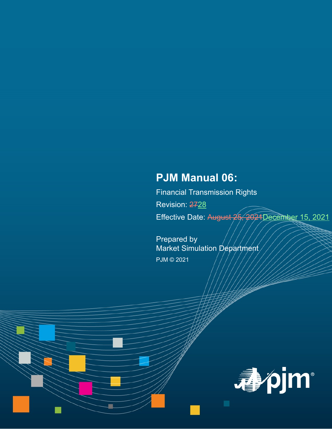# **PJM Manual 06:**

Financial Transmission Rights Revision: 2728 Effective Date: August 25, 2021December 15, 2021

Prepared by Market Simulation Department PJM © 2021

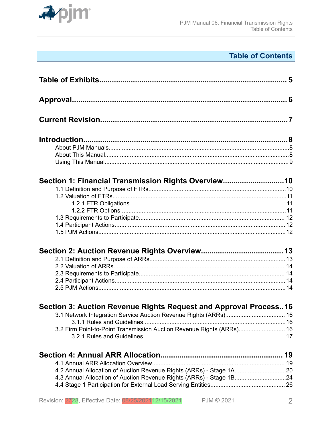

## **Table of Contents**

| Section 1: Financial Transmission Rights Overview10                   |  |
|-----------------------------------------------------------------------|--|
|                                                                       |  |
|                                                                       |  |
|                                                                       |  |
|                                                                       |  |
|                                                                       |  |
|                                                                       |  |
|                                                                       |  |
|                                                                       |  |
| Section 3: Auction Revenue Rights Request and Approval Process16      |  |
|                                                                       |  |
| 3.2 Firm Point-to-Point Transmission Auction Revenue Rights (ARRs) 16 |  |
|                                                                       |  |
|                                                                       |  |
|                                                                       |  |
| 4.2 Annual Allocation of Auction Revenue Rights (ARRs) - Stage 1A20   |  |
| 4.3 Annual Allocation of Auction Revenue Rights (ARRs) - Stage 1B24   |  |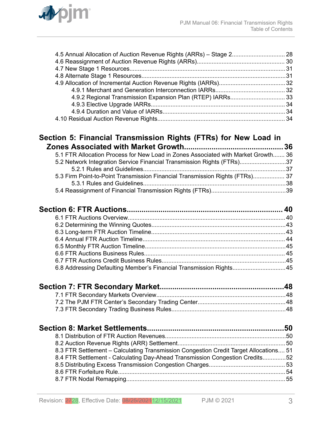

### **[Section 5: Financial Transmission Rights \(FTRs\) for New Load in](#page-35-0) [Zones Associated with Market Growth...............................................36](#page-35-0)**

| 5.1 FTR Allocation Process for New Load in Zones Associated with Market Growth 36 |  |
|-----------------------------------------------------------------------------------|--|
| 5.2 Network Integration Service Financial Transmission Rights (FTRs)37            |  |
|                                                                                   |  |
| 5.3 Firm Point-to-Point Transmission Financial Transmission Rights (FTRs) 37      |  |
|                                                                                   |  |
|                                                                                   |  |

| 6.8 Addressing Defaulting Member's Financial Transmission Rights45 |  |  |
|--------------------------------------------------------------------|--|--|
|                                                                    |  |  |

| 8.3 FTR Settlement - Calculating Transmission Congestion Credit Target Allocations 51 |  |
|---------------------------------------------------------------------------------------|--|
| 8.4 FTR Settlement - Calculating Day-Ahead Transmission Congestion Credits52          |  |
|                                                                                       |  |
|                                                                                       |  |
|                                                                                       |  |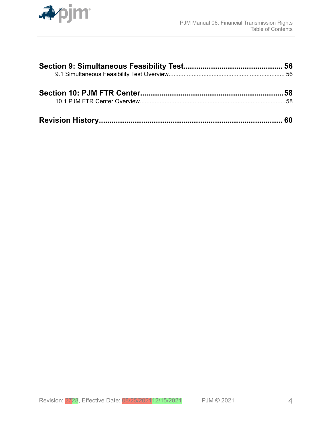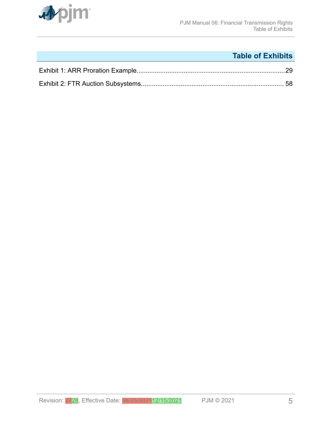<span id="page-4-0"></span>

## **Table of Exhibits**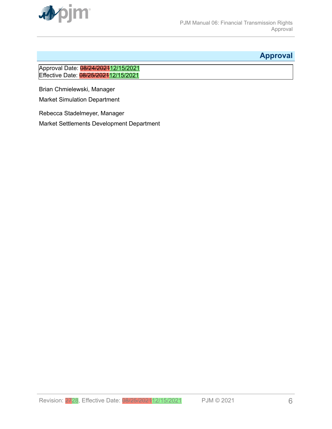<span id="page-5-0"></span>

## **Approval**

### Approval Date: 08/24/2021<sub>12/15</sub>/2021 Effective Date: 08/25/2021 12/15/2021

Brian Chmielewski, Manager

Market Simulation Department

Rebecca Stadelmeyer, Manager

Market Settlements Development Department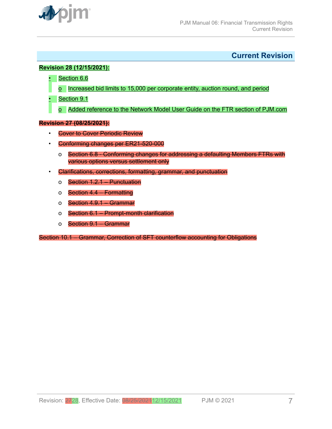<span id="page-6-0"></span>

**Current Revision**

#### **Revision 28 (12/15/2021):**

- Section 6.6
- o Increased bid limits to 15,000 per corporate entity, auction round, and period
- Section 9.1
	- o Added reference to the Network Model User Guide on the FTR section of PJM.com

#### **Revision 27 (08/25/2021):**

- Cover to Cover Periodic Review
- Conforming changes per ER21-520-000
	- o Section 6.8 Conforming changes for addressing a defaulting Members FTRs with various options versus settlement only
- Clarifications, corrections, formatting, grammar, and punctuation
	- o Section 1.2.1 Punctuation
	- o Section 4.4 Formatting
	- o Section 4.9.1 Grammar
	- o Section 6.1 Prompt-month clarification
	- o Section 9.1 Grammar

Section 10.1 – Grammar, Correction of SFT counterflow accounting for Obligations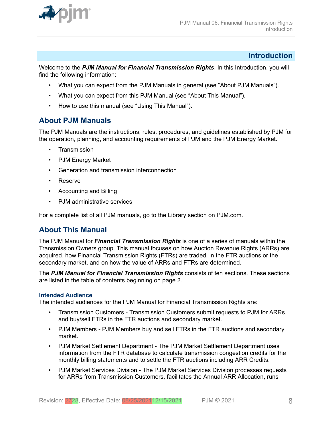<span id="page-7-0"></span>

### **Introduction**

Welcome to the *PJM Manual for Financial Transmission Rights*. In this Introduction, you will find the following information:

- What you can expect from the PJM Manuals in general (see "About PJM Manuals").
- What you can expect from this PJM Manual (see "About This Manual").
- How to use this manual (see "Using This Manual").

### **About PJM Manuals**

The PJM Manuals are the instructions, rules, procedures, and guidelines established by PJM for the operation, planning, and accounting requirements of PJM and the PJM Energy Market.

- **Transmission**
- PJM Energy Market
- Generation and transmission interconnection
- Reserve
- Accounting and Billing
- PJM administrative services

For a complete list of all PJM manuals, go to the Library section on PJM.com.

### **About This Manual**

The PJM Manual for *Financial Transmission Rights* is one of a series of manuals within the Transmission Owners group. This manual focuses on how Auction Revenue Rights (ARRs) are acquired, how Financial Transmission Rights (FTRs) are traded, in the FTR auctions or the secondary market, and on how the value of ARRs and FTRs are determined.

The *PJM Manual for Financial Transmission Rights* consists of ten sections. These sections are listed in the table of contents beginning on page 2.

#### **Intended Audience**

The intended audiences for the PJM Manual for Financial Transmission Rights are:

- Transmission Customers Transmission Customers submit requests to PJM for ARRs, and buy/sell FTRs in the FTR auctions and secondary market.
- PJM Members PJM Members buy and sell FTRs in the FTR auctions and secondary market.
- PJM Market Settlement Department The PJM Market Settlement Department uses information from the FTR database to calculate transmission congestion credits for the monthly billing statements and to settle the FTR auctions including ARR Credits.
- PJM Market Services Division The PJM Market Services Division processes requests for ARRs from Transmission Customers, facilitates the Annual ARR Allocation, runs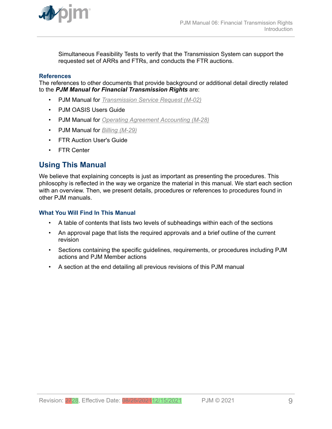<span id="page-8-0"></span>

Simultaneous Feasibility Tests to verify that the Transmission System can support the requested set of ARRs and FTRs, and conducts the FTR auctions.

#### **References**

The references to other documents that provide background or additional detail directly related to the *PJM Manual for Financial Transmission Rights* are:

- PJM Manual for *[Transmission Service Request \(M-02\)](http://www.pjm.com/~/media/documents/manuals/m02.ashx)*
- PJM OASIS Users Guide
- PJM Manual for *[Operating Agreement Accounting \(M-28\)](http://www.pjm.com/~/media/documents/manuals/m28.ashx)*
- PJM Manual for *[Billing \(M-29\)](http://www.pjm.com/~/media/documents/manuals/m29.ashx)*
- FTR Auction User's Guide
- FTR Center

### **Using This Manual**

We believe that explaining concepts is just as important as presenting the procedures. This philosophy is reflected in the way we organize the material in this manual. We start each section with an overview. Then, we present details, procedures or references to procedures found in other PJM manuals.

#### **What You Will Find In This Manual**

- A table of contents that lists two levels of subheadings within each of the sections
- An approval page that lists the required approvals and a brief outline of the current revision
- Sections containing the specific guidelines, requirements, or procedures including PJM actions and PJM Member actions
- A section at the end detailing all previous revisions of this PJM manual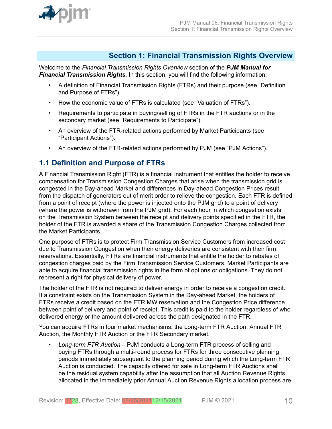<span id="page-9-0"></span>

### **Section 1: Financial Transmission Rights Overview**

Welcome to the *Financial Transmission Rights Overview* section of the *PJM Manual for Financial Transmission Rights*. In this section, you will find the following information:

- A definition of Financial Transmission Rights (FTRs) and their purpose (see "Definition and Purpose of FTRs").
- How the economic value of FTRs is calculated (see "Valuation of FTRs").
- Requirements to participate in buying/selling of FTRs in the FTR auctions or in the secondary market (see "Requirements to Participate").
- An overview of the FTR-related actions performed by Market Participants (see "Participant Actions").
- An overview of the FTR-related actions performed by PJM (see "PJM Actions").

### **1.1 Definition and Purpose of FTRs**

A Financial Transmission Right (FTR) is a financial instrument that entitles the holder to receive compensation for Transmission Congestion Charges that arise when the transmission grid is congested in the Day-ahead Market and differences in Day-ahead Congestion Prices result from the dispatch of generators out of merit order to relieve the congestion. Each FTR is defined from a point of receipt (where the power is injected onto the PJM grid) to a point of delivery (where the power is withdrawn from the PJM grid). For each hour in which congestion exists on the Transmission System between the receipt and delivery points specified in the FTR, the holder of the FTR is awarded a share of the Transmission Congestion Charges collected from the Market Participants.

One purpose of FTRs is to protect Firm Transmission Service Customers from increased cost due to Transmission Congestion when their energy deliveries are consistent with their firm reservations. Essentially, FTRs are financial instruments that entitle the holder to rebates of congestion charges paid by the Firm Transmission Service Customers. Market Participants are able to acquire financial transmission rights in the form of options or obligations. They do not represent a right for physical delivery of power.

The holder of the FTR is not required to deliver energy in order to receive a congestion credit. If a constraint exists on the Transmission System in the Day-ahead Market, the holders of FTRs receive a credit based on the FTR MW reservation and the Congestion Price difference between point of delivery and point of receipt. This credit is paid to the holder regardless of who delivered energy or the amount delivered across the path designated in the FTR.

You can acquire FTRs in four market mechanisms: the Long-term FTR Auction, Annual FTR Auction, the Monthly FTR Auction or the FTR Secondary market.

• *Long-term FTR Auction* – PJM conducts a Long-term FTR process of selling and buying FTRs through a multi-round process for FTRs for three consecutive planning periods immediately subsequent to the planning period during which the Long-term FTR Auction is conducted. The capacity offered for sale in Long-term FTR Auctions shall be the residual system capability after the assumption that all Auction Revenue Rights allocated in the immediately prior Annual Auction Revenue Rights allocation process are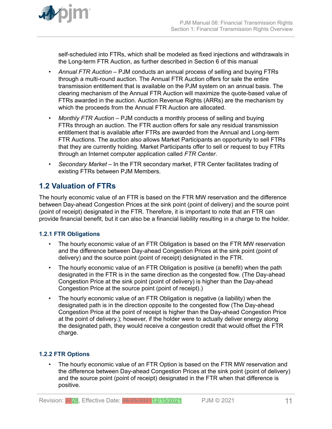<span id="page-10-0"></span>

self-scheduled into FTRs, which shall be modeled as fixed injections and withdrawals in the Long-term FTR Auction, as further described in Section 6 of this manual

- *Annual FTR Auction –* PJM conducts an annual process of selling and buying FTRs through a multi-round auction. The Annual FTR Auction offers for sale the entire transmission entitlement that is available on the PJM system on an annual basis. The clearing mechanism of the Annual FTR Auction will maximize the quote-based value of FTRs awarded in the auction. Auction Revenue Rights (ARRs) are the mechanism by which the proceeds from the Annual FTR Auction are allocated.
- *Monthly FTR Auction –* PJM conducts a monthly process of selling and buying FTRs through an auction. The FTR auction offers for sale any residual transmission entitlement that is available after FTRs are awarded from the Annual and Long-term FTR Auctions. The auction also allows Market Participants an opportunity to sell FTRs that they are currently holding. Market Participants offer to sell or request to buy FTRs through an Internet computer application called *FTR Center*.
- *Secondary Market –* In the FTR secondary market, FTR Center facilitates trading of existing FTRs between PJM Members.

## **1.2 Valuation of FTRs**

The hourly economic value of an FTR is based on the FTR MW reservation and the difference between Day-ahead Congestion Prices at the sink point (point of delivery) and the source point (point of receipt) designated in the FTR. Therefore, it is important to note that an FTR can provide financial benefit, but it can also be a financial liability resulting in a charge to the holder.

### **1.2.1 FTR Obligations**

- The hourly economic value of an FTR Obligation is based on the FTR MW reservation and the difference between Day-ahead Congestion Prices at the sink point (point of delivery) and the source point (point of receipt) designated in the FTR.
- The hourly economic value of an FTR Obligation is positive (a benefit) when the path designated in the FTR is in the same direction as the congested flow. (The Day-ahead Congestion Price at the sink point (point of delivery) is higher than the Day-ahead Congestion Price at the source point (point of receipt).)
- The hourly economic value of an FTR Obligation is negative (a liability) when the designated path is in the direction opposite to the congested flow (The Day-ahead Congestion Price at the point of receipt is higher than the Day-ahead Congestion Price at the point of delivery.); however, if the holder were to actually deliver energy along the designated path, they would receive a congestion credit that would offset the FTR charge.

### **1.2.2 FTR Options**

The hourly economic value of an FTR Option is based on the FTR MW reservation and the difference between Day-ahead Congestion Prices at the sink point (point of delivery) and the source point (point of receipt) designated in the FTR when that difference is positive.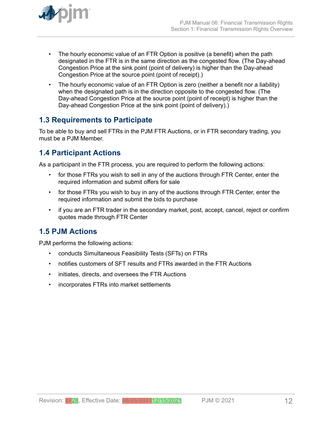<span id="page-11-0"></span>

- The hourly economic value of an FTR Option is positive (a benefit) when the path designated in the FTR is in the same direction as the congested flow. (The Day-ahead Congestion Price at the sink point (point of delivery) is higher than the Day-ahead Congestion Price at the source point (point of receipt).)
- The hourly economic value of an FTR Option is zero (neither a benefit nor a liability) when the designated path is in the direction opposite to the congested flow. (The Day-ahead Congestion Price at the source point (point of receipt) is higher than the Day-ahead Congestion Price at the sink point (point of delivery).)

## **1.3 Requirements to Participate**

To be able to buy and sell FTRs in the PJM FTR Auctions, or in FTR secondary trading, you must be a PJM Member.

## **1.4 Participant Actions**

As a participant in the FTR process, you are required to perform the following actions:

- for those FTRs you wish to sell in any of the auctions through FTR Center, enter the required information and submit offers for sale
- for those FTRs you wish to buy in any of the auctions through FTR Center, enter the required information and submit the bids to purchase
- if you are an FTR trader in the secondary market, post, accept, cancel, reject or confirm quotes made through FTR Center

## **1.5 PJM Actions**

PJM performs the following actions:

- conducts Simultaneous Feasibility Tests (SFTs) on FTRs
- notifies customers of SFT results and FTRs awarded in the FTR Auctions
- initiates, directs, and oversees the FTR Auctions
- incorporates FTRs into market settlements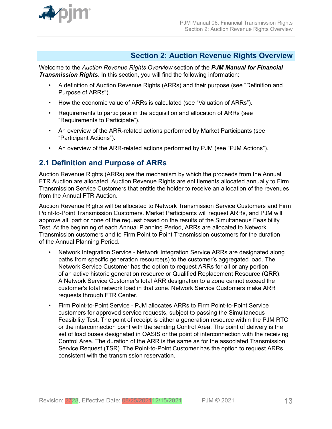<span id="page-12-0"></span>

### **Section 2: Auction Revenue Rights Overview**

Welcome to the *Auction Revenue Rights Overview* section of the *PJM Manual for Financial Transmission Rights*. In this section, you will find the following information:

- A definition of Auction Revenue Rights (ARRs) and their purpose (see "Definition and Purpose of ARRs").
- How the economic value of ARRs is calculated (see "Valuation of ARRs").
- Requirements to participate in the acquisition and allocation of ARRs (see "Requirements to Participate").
- An overview of the ARR-related actions performed by Market Participants (see "Participant Actions").
- An overview of the ARR-related actions performed by PJM (see "PJM Actions").

## **2.1 Definition and Purpose of ARRs**

Auction Revenue Rights (ARRs) are the mechanism by which the proceeds from the Annual FTR Auction are allocated. Auction Revenue Rights are entitlements allocated annually to Firm Transmission Service Customers that entitle the holder to receive an allocation of the revenues from the Annual FTR Auction.

Auction Revenue Rights will be allocated to Network Transmission Service Customers and Firm Point-to-Point Transmission Customers. Market Participants will request ARRs, and PJM will approve all, part or none of the request based on the results of the Simultaneous Feasibility Test. At the beginning of each Annual Planning Period, ARRs are allocated to Network Transmission customers and to Firm Point to Point Transmission customers for the duration of the Annual Planning Period.

- Network Integration Service Network Integration Service ARRs are designated along paths from specific generation resource(s) to the customer's aggregated load. The Network Service Customer has the option to request ARRs for all or any portion of an active historic generation resource or Qualified Replacement Resource (QRR). A Network Service Customer's total ARR designation to a zone cannot exceed the customer's total network load in that zone. Network Service Customers make ARR requests through FTR Center.
- Firm Point-to-Point Service PJM allocates ARRs to Firm Point-to-Point Service customers for approved service requests, subject to passing the Simultaneous Feasibility Test. The point of receipt is either a generation resource within the PJM RTO or the interconnection point with the sending Control Area. The point of delivery is the set of load buses designated in OASIS or the point of interconnection with the receiving Control Area. The duration of the ARR is the same as for the associated Transmission Service Request (TSR). The Point-to-Point Customer has the option to request ARRs consistent with the transmission reservation.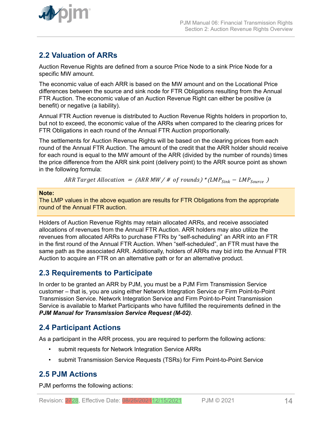<span id="page-13-0"></span>

## **2.2 Valuation of ARRs**

Auction Revenue Rights are defined from a source Price Node to a sink Price Node for a specific MW amount.

The economic value of each ARR is based on the MW amount and on the Locational Price differences between the source and sink node for FTR Obligations resulting from the Annual FTR Auction. The economic value of an Auction Revenue Right can either be positive (a benefit) or negative (a liability).

Annual FTR Auction revenue is distributed to Auction Revenue Rights holders in proportion to, but not to exceed, the economic value of the ARRs when compared to the clearing prices for FTR Obligations in each round of the Annual FTR Auction proportionally.

The settlements for Auction Revenue Rights will be based on the clearing prices from each round of the Annual FTR Auction. The amount of the credit that the ARR holder should receive for each round is equal to the MW amount of the ARR (divided by the number of rounds) times the price difference from the ARR sink point (delivery point) to the ARR source point as shown in the following formula:

ARR Target Allocation =  $(ARR MW / # of rounds)*(LMP<sub>Sink</sub> - LMP<sub>Source</sub>)$ 

#### **Note:**

The LMP values in the above equation are results for FTR Obligations from the appropriate round of the Annual FTR auction.

Holders of Auction Revenue Rights may retain allocated ARRs, and receive associated allocations of revenues from the Annual FTR Auction. ARR holders may also utilize the revenues from allocated ARRs to purchase FTRs by "self-scheduling" an ARR into an FTR in the first round of the Annual FTR Auction. When "self-scheduled", an FTR must have the same path as the associated ARR. Additionally, holders of ARRs may bid into the Annual FTR Auction to acquire an FTR on an alternative path or for an alternative product.

### **2.3 Requirements to Participate**

In order to be granted an ARR by PJM, you must be a PJM Firm Transmission Service customer – that is, you are using either Network Integration Service or Firm Point-to-Point Transmission Service. Network Integration Service and Firm Point-to-Point Transmission Service is available to Market Participants who have fulfilled the requirements defined in the *PJM Manual for Transmission Service Request (M-02)*.

### **2.4 Participant Actions**

As a participant in the ARR process, you are required to perform the following actions:

- submit requests for Network Integration Service ARRs
- submit Transmission Service Requests (TSRs) for Firm Point-to-Point Service

### **2.5 PJM Actions**

PJM performs the following actions: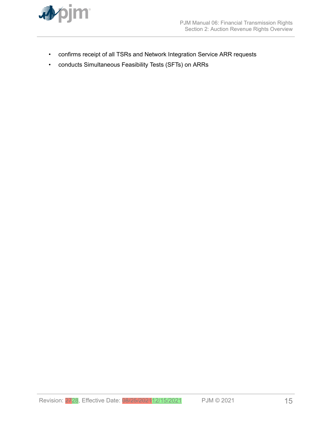

- confirms receipt of all TSRs and Network Integration Service ARR requests
- conducts Simultaneous Feasibility Tests (SFTs) on ARRs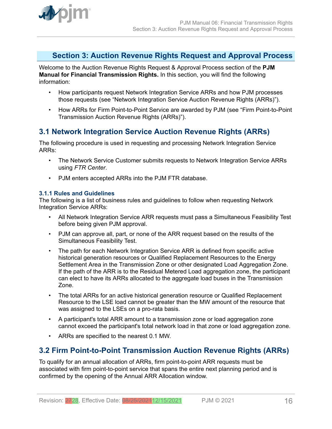<span id="page-15-0"></span>

### **Section 3: Auction Revenue Rights Request and Approval Process**

Welcome to the Auction Revenue Rights Request & Approval Process section of the **PJM Manual for Financial Transmission Rights.** In this section, you will find the following information:

- How participants request Network Integration Service ARRs and how PJM processes those requests (see "Network Integration Service Auction Revenue Rights (ARRs)").
- How ARRs for Firm Point-to-Point Service are awarded by PJM (see "Firm Point-to-Point Transmission Auction Revenue Rights (ARRs)").

## **3.1 Network Integration Service Auction Revenue Rights (ARRs)**

The following procedure is used in requesting and processing Network Integration Service ARRs:

- The Network Service Customer submits requests to Network Integration Service ARRs using *FTR Center*.
- PJM enters accepted ARRs into the PJM FTR database.

### **3.1.1 Rules and Guidelines**

The following is a list of business rules and guidelines to follow when requesting Network Integration Service ARRs:

- All Network Integration Service ARR requests must pass a Simultaneous Feasibility Test before being given PJM approval.
- PJM can approve all, part, or none of the ARR request based on the results of the Simultaneous Feasibility Test.
- The path for each Network Integration Service ARR is defined from specific active historical generation resources or Qualified Replacement Resources to the Energy Settlement Area in the Transmission Zone or other designated Load Aggregation Zone. If the path of the ARR is to the Residual Metered Load aggregation zone, the participant can elect to have its ARRs allocated to the aggregate load buses in the Transmission Zone.
- The total ARRs for an active historical generation resource or Qualified Replacement Resource to the LSE load cannot be greater than the MW amount of the resource that was assigned to the LSEs on a pro-rata basis.
- A participant's total ARR amount to a transmission zone or load aggregation zone cannot exceed the participant's total network load in that zone or load aggregation zone.
- ARRs are specified to the nearest 0.1 MW.

### **3.2 Firm Point-to-Point Transmission Auction Revenue Rights (ARRs)**

To qualify for an annual allocation of ARRs, firm point-to-point ARR requests must be associated with firm point-to-point service that spans the entire next planning period and is confirmed by the opening of the Annual ARR Allocation window.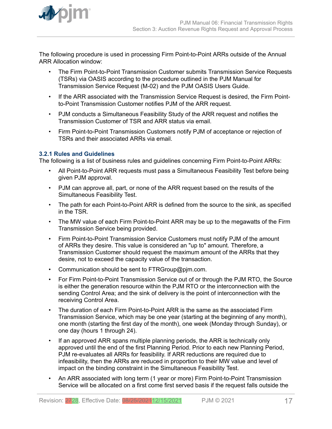<span id="page-16-0"></span>

The following procedure is used in processing Firm Point-to-Point ARRs outside of the Annual ARR Allocation window:

- The Firm Point-to-Point Transmission Customer submits Transmission Service Requests (TSRs) via OASIS according to the procedure outlined in the PJM Manual for Transmission Service Request (M-02) and the PJM OASIS Users Guide.
- If the ARR associated with the Transmission Service Request is desired, the Firm Pointto-Point Transmission Customer notifies PJM of the ARR request.
- PJM conducts a Simultaneous Feasibility Study of the ARR request and notifies the Transmission Customer of TSR and ARR status via email.
- Firm Point-to-Point Transmission Customers notify PJM of acceptance or rejection of TSRs and their associated ARRs via email.

### **3.2.1 Rules and Guidelines**

The following is a list of business rules and guidelines concerning Firm Point-to-Point ARRs:

- All Point-to-Point ARR requests must pass a Simultaneous Feasibility Test before being given PJM approval.
- PJM can approve all, part, or none of the ARR request based on the results of the Simultaneous Feasibility Test.
- The path for each Point-to-Point ARR is defined from the source to the sink, as specified in the TSR.
- The MW value of each Firm Point-to-Point ARR may be up to the megawatts of the Firm Transmission Service being provided.
- Firm Point-to-Point Transmission Service Customers must notify PJM of the amount of ARRs they desire. This value is considered an "up to" amount. Therefore, a Transmission Customer should request the maximum amount of the ARRs that they desire, not to exceed the capacity value of the transaction.
- Communication should be sent to FTRGroup@pjm.com.
- For Firm Point-to-Point Transmission Service out of or through the PJM RTO, the Source is either the generation resource within the PJM RTO or the interconnection with the sending Control Area; and the sink of delivery is the point of interconnection with the receiving Control Area.
- The duration of each Firm Point-to-Point ARR is the same as the associated Firm Transmission Service, which may be one year (starting at the beginning of any month), one month (starting the first day of the month), one week (Monday through Sunday), or one day (hours 1 through 24).
- If an approved ARR spans multiple planning periods, the ARR is technically only approved until the end of the first Planning Period. Prior to each new Planning Period, PJM re-evaluates all ARRs for feasibility. If ARR reductions are required due to infeasibility, then the ARRs are reduced in proportion to their MW value and level of impact on the binding constraint in the Simultaneous Feasibility Test.
- An ARR associated with long term (1 year or more) Firm Point-to-Point Transmission Service will be allocated on a first come first served basis if the request falls outside the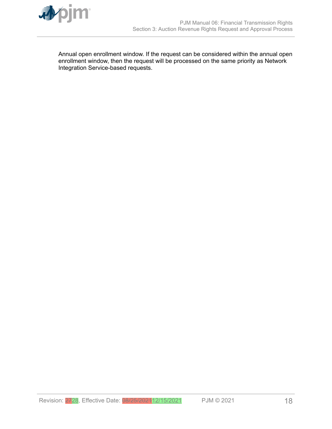

Annual open enrollment window. If the request can be considered within the annual open enrollment window, then the request will be processed on the same priority as Network Integration Service-based requests.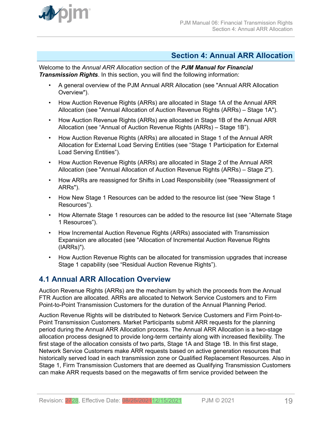<span id="page-18-0"></span>

### **Section 4: Annual ARR Allocation**

Welcome to the *Annual ARR Allocation* section of the *PJM Manual for Financial Transmission Rights*. In this section, you will find the following information:

- A general overview of the PJM Annual ARR Allocation (see "Annual ARR Allocation Overview").
- How Auction Revenue Rights (ARRs) are allocated in Stage 1A of the Annual ARR Allocation (see "Annual Allocation of Auction Revenue Rights (ARRs) – Stage 1A").
- How Auction Revenue Rights (ARRs) are allocated in Stage 1B of the Annual ARR Allocation (see "Annual of Auction Revenue Rights (ARRs) – Stage 1B").
- How Auction Revenue Rights (ARRs) are allocated in Stage 1 of the Annual ARR Allocation for External Load Serving Entities (see "Stage 1 Participation for External Load Serving Entities").
- How Auction Revenue Rights (ARRs) are allocated in Stage 2 of the Annual ARR Allocation (see "Annual Allocation of Auction Revenue Rights (ARRs) – Stage 2").
- How ARRs are reassigned for Shifts in Load Responsibility (see "Reassignment of ARRs").
- How New Stage 1 Resources can be added to the resource list (see "New Stage 1 Resources").
- How Alternate Stage 1 resources can be added to the resource list (see "Alternate Stage 1 Resources").
- How Incremental Auction Revenue Rights (ARRs) associated with Transmission Expansion are allocated (see "Allocation of Incremental Auction Revenue Rights (IARRs)").
- How Auction Revenue Rights can be allocated for transmission upgrades that increase Stage 1 capability (see "Residual Auction Revenue Rights").

### **4.1 Annual ARR Allocation Overview**

Auction Revenue Rights (ARRs) are the mechanism by which the proceeds from the Annual FTR Auction are allocated. ARRs are allocated to Network Service Customers and to Firm Point-to-Point Transmission Customers for the duration of the Annual Planning Period.

Auction Revenue Rights will be distributed to Network Service Customers and Firm Point-to-Point Transmission Customers. Market Participants submit ARR requests for the planning period during the Annual ARR Allocation process. The Annual ARR Allocation is a two-stage allocation process designed to provide long-term certainty along with increased flexibility. The first stage of the allocation consists of two parts, Stage 1A and Stage 1B. In this first stage, Network Service Customers make ARR requests based on active generation resources that historically served load in each transmission zone or Qualified Replacement Resources. Also in Stage 1, Firm Transmission Customers that are deemed as Qualifying Transmission Customers can make ARR requests based on the megawatts of firm service provided between the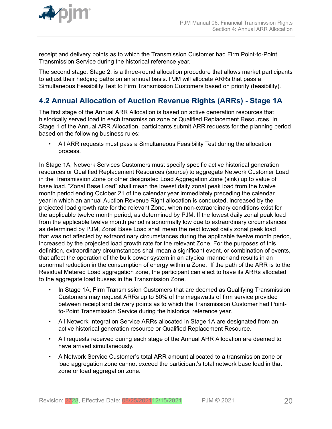<span id="page-19-0"></span>

receipt and delivery points as to which the Transmission Customer had Firm Point-to-Point Transmission Service during the historical reference year.

The second stage, Stage 2, is a three-round allocation procedure that allows market participants to adjust their hedging paths on an annual basis. PJM will allocate ARRs that pass a Simultaneous Feasibility Test to Firm Transmission Customers based on priority (feasibility).

## **4.2 Annual Allocation of Auction Revenue Rights (ARRs) - Stage 1A**

The first stage of the Annual ARR Allocation is based on active generation resources that historically served load in each transmission zone or Qualified Replacement Resources. In Stage 1 of the Annual ARR Allocation, participants submit ARR requests for the planning period based on the following business rules:

• All ARR requests must pass a Simultaneous Feasibility Test during the allocation process.

In Stage 1A, Network Services Customers must specify specific active historical generation resources or Qualified Replacement Resources (source) to aggregate Network Customer Load in the Transmission Zone or other designated Load Aggregation Zone (sink) up to value of base load. "Zonal Base Load" shall mean the lowest daily zonal peak load from the twelve month period ending October 21 of the calendar year immediately preceding the calendar year in which an annual Auction Revenue Right allocation is conducted, increased by the projected load growth rate for the relevant Zone, when non-extraordinary conditions exist for the applicable twelve month period, as determined by PJM. If the lowest daily zonal peak load from the applicable twelve month period is abnormally low due to extraordinary circumstances, as determined by PJM, Zonal Base Load shall mean the next lowest daily zonal peak load that was not affected by extraordinary circumstances during the applicable twelve month period, increased by the projected load growth rate for the relevant Zone. For the purposes of this definition, extraordinary circumstances shall mean a significant event, or combination of events, that affect the operation of the bulk power system in an atypical manner and results in an abnormal reduction in the consumption of energy within a Zone. If the path of the ARR is to the Residual Metered Load aggregation zone, the participant can elect to have its ARRs allocated to the aggregate load busses in the Transmission Zone.

- In Stage 1A, Firm Transmission Customers that are deemed as Qualifying Transmission Customers may request ARRs up to 50% of the megawatts of firm service provided between receipt and delivery points as to which the Transmission Customer had Pointto-Point Transmission Service during the historical reference year.
- All Network Integration Service ARRs allocated in Stage 1A are designated from an active historical generation resource or Qualified Replacement Resource.
- All requests received during each stage of the Annual ARR Allocation are deemed to have arrived simultaneously.
- A Network Service Customer's total ARR amount allocated to a transmission zone or load aggregation zone cannot exceed the participant's total network base load in that zone or load aggregation zone.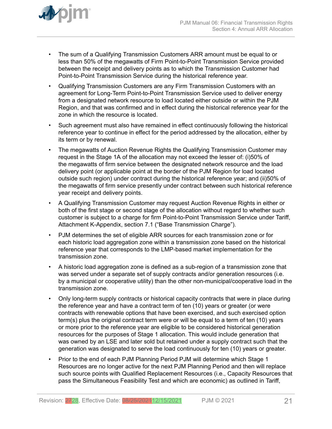

- The sum of a Qualifying Transmission Customers ARR amount must be equal to or less than 50% of the megawatts of Firm Point-to-Point Transmission Service provided between the receipt and delivery points as to which the Transmission Customer had Point-to-Point Transmission Service during the historical reference year.
- Qualifying Transmission Customers are any Firm Transmission Customers with an agreement for Long-Term Point-to-Point Transmission Service used to deliver energy from a designated network resource to load located either outside or within the PJM Region, and that was confirmed and in effect during the historical reference year for the zone in which the resource is located.
- Such agreement must also have remained in effect continuously following the historical reference year to continue in effect for the period addressed by the allocation, either by its term or by renewal.
- The megawatts of Auction Revenue Rights the Qualifying Transmission Customer may request in the Stage 1A of the allocation may not exceed the lesser of: (i)50% of the megawatts of firm service between the designated network resource and the load delivery point (or applicable point at the border of the PJM Region for load located outside such region) under contract during the historical reference year; and (ii)50% of the megawatts of firm service presently under contract between such historical reference year receipt and delivery points.
- A Qualifying Transmission Customer may request Auction Revenue Rights in either or both of the first stage or second stage of the allocation without regard to whether such customer is subject to a charge for firm Point-to-Point Transmission Service under Tariff, Attachment K-Appendix, section 7.1 ("Base Transmission Charge").
- PJM determines the set of eligible ARR sources for each transmission zone or for each historic load aggregation zone within a transmission zone based on the historical reference year that corresponds to the LMP-based market implementation for the transmission zone.
- A historic load aggregation zone is defined as a sub-region of a transmission zone that was served under a separate set of supply contracts and/or generation resources (i.e. by a municipal or cooperative utility) than the other non-municipal/cooperative load in the transmission zone.
- Only long-term supply contracts or historical capacity contracts that were in place during the reference year and have a contract term of ten (10) years or greater (or were contracts with renewable options that have been exercised, and such exercised option term(s) plus the original contract term were or will be equal to a term of ten (10) years or more prior to the reference year are eligible to be considered historical generation resources for the purposes of Stage 1 allocation. This would include generation that was owned by an LSE and later sold but retained under a supply contract such that the generation was designated to serve the load continuously for ten (10) years or greater.
- Prior to the end of each PJM Planning Period PJM will determine which Stage 1 Resources are no longer active for the next PJM Planning Period and then will replace such source points with Qualified Replacement Resources (i.e., Capacity Resources that pass the Simultaneous Feasibility Test and which are economic) as outlined in Tariff,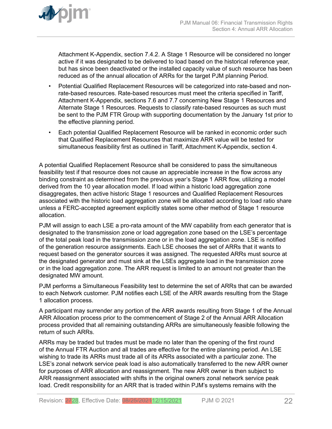

Attachment K-Appendix, section 7.4.2. A Stage 1 Resource will be considered no longer active if it was designated to be delivered to load based on the historical reference year, but has since been deactivated or the installed capacity value of such resource has been reduced as of the annual allocation of ARRs for the target PJM planning Period.

- Potential Qualified Replacement Resources will be categorized into rate-based and nonrate-based resources. Rate-based resources must meet the criteria specified in Tariff, Attachment K-Appendix, sections 7.6 and 7.7 concerning New Stage 1 Resources and Alternate Stage 1 Resources. Requests to classify rate-based resources as such must be sent to the PJM FTR Group with supporting documentation by the January 1st prior to the effective planning period.
- Each potential Qualified Replacement Resource will be ranked in economic order such that Qualified Replacement Resources that maximize ARR value will be tested for simultaneous feasibility first as outlined in Tariff, Attachment K-Appendix, section 4.

A potential Qualified Replacement Resource shall be considered to pass the simultaneous feasibility test if that resource does not cause an appreciable increase in the flow across any binding constraint as determined from the previous year's Stage 1 ARR flow, utilizing a model derived from the 10 year allocation model. If load within a historic load aggregation zone disaggregates, then active historic Stage 1 resources and Qualified Replacement Resources associated with the historic load aggregation zone will be allocated according to load ratio share unless a FERC-accepted agreement explicitly states some other method of Stage 1 resource allocation.

PJM will assign to each LSE a pro-rata amount of the MW capability from each generator that is designated to the transmission zone or load aggregation zone based on the LSE's percentage of the total peak load in the transmission zone or in the load aggregation zone. LSE is notified of the generation resource assignments. Each LSE chooses the set of ARRs that it wants to request based on the generator sources it was assigned. The requested ARRs must source at the designated generator and must sink at the LSEs aggregate load in the transmission zone or in the load aggregation zone. The ARR request is limited to an amount not greater than the designated MW amount.

PJM performs a Simultaneous Feasibility test to determine the set of ARRs that can be awarded to each Network customer. PJM notifies each LSE of the ARR awards resulting from the Stage 1 allocation process.

A participant may surrender any portion of the ARR awards resulting from Stage 1 of the Annual ARR Allocation process prior to the commencement of Stage 2 of the Annual ARR Allocation process provided that all remaining outstanding ARRs are simultaneously feasible following the return of such ARRs.

ARRs may be traded but trades must be made no later than the opening of the first round of the Annual FTR Auction and all trades are effective for the entire planning period. An LSE wishing to trade its ARRs must trade all of its ARRs associated with a particular zone. The LSE's zonal network service peak load is also automatically transferred to the new ARR owner for purposes of ARR allocation and reassignment. The new ARR owner is then subject to ARR reassignment associated with shifts in the original owners zonal network service peak load. Credit responsibility for an ARR that is traded within PJM's systems remains with the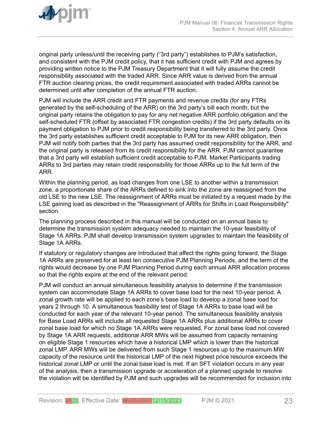original party unless/until the receiving party ("3rd party") establishes to PJM's satisfaction, and consistent with the PJM credit policy, that it has sufficient credit with PJM and agrees by providing written notice to the PJM Treasury Department that it will fully assume the credit responsibility associated with the traded ARR. Since ARR value is derived from the annual FTR auction clearing prices, the credit requirement associated with traded ARRs cannot be determined until after completion of the annual FTR auction.

PJM will include the ARR credit and FTR payments and revenue credits (for any FTRs generated by the self-scheduling of the ARR) on the 3rd party's bill each month, but the original party retains the obligation to pay for any net negative ARR portfolio obligation and the self-scheduled FTR (offset by associated FTR congestion credits) if the 3rd party defaults on its payment obligation to PJM prior to credit responsibility being transferred to the 3rd party. Once the 3rd party establishes sufficient credit acceptable to PJM for its new ARR obligation, then PJM will notify both parties that the 3rd party has assumed credit responsibility for the ARR, and the original party is released from its credit responsibility for the ARR. PJM cannot guarantee that a 3rd party will establish sufficient credit acceptable to PJM. Market Participants trading ARRs to 3rd parties may retain credit responsibility for those ARRs up to the full term of the ARR.

Within the planning period, as load changes from one LSE to another within a transmission zone, a proportionate share of the ARRs defined to sink into the zone are reassigned from the old LSE to the new LSE. The reassignment of ARRs must be initiated by a request made by the LSE gaining load as described in the "Reassignment of ARRs for Shifts in Load Responsibility" section.

The planning process described in this manual will be conducted on an annual basis to determine the transmission system adequacy needed to maintain the 10-year feasibility of Stage 1A ARRs. PJM shall develop transmission system upgrades to maintain the feasibility of Stage 1A ARRs.

If statutory or regulatory changes are introduced that affect the rights going forward, the Stage 1A ARRs are preserved for at least ten consecutive PJM Planning Periods, and the term of the rights would decrease by one PJM Planning Period during each annual ARR allocation process so that the rights expire at the end of the relevant period.

PJM will conduct an annual simultaneous feasibility analysis to determine if the transmission system can accommodate Stage 1A ARRs to cover base load for the next 10-year period. A zonal growth rate will be applied to each zone's base load to develop a zonal base load for years 2 through 10. A simultaneous feasibility test of Stage 1A ARRs to base load will be conducted for each year of the relevant 10-year period. The simultaneous feasibility analysis for Base Load ARRs will include all requested Stage 1A ARRs plus additional ARRs to cover zonal base load for which no Stage 1A ARRs were requested. For zonal base load not covered by Stage 1A ARR requests, additional ARR MWs will be assumed from capacity remaining on eligible Stage 1 resources which have a historical LMP which is lower than the historical zonal LMP. ARR MWs will be delivered from such Stage 1 resources up to the maximum MW capacity of the resource until the historical LMP of the next highest price resource exceeds the historical zonal LMP or until the zonal base load is met. If an SFT violation occurs in any year of the analysis, then a transmission upgrade or acceleration of a planned upgrade to resolve the violation will be identified by PJM and such upgrades will be recommended for inclusion into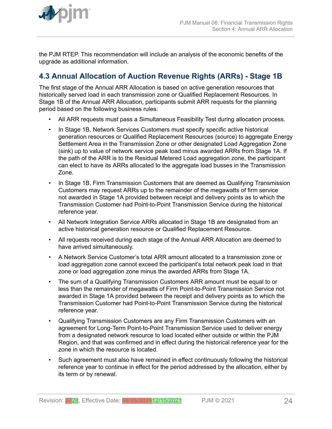<span id="page-23-0"></span>

the PJM RTEP. This recommendation will include an analysis of the economic benefits of the upgrade as additional information.

## **4.3 Annual Allocation of Auction Revenue Rights (ARRs) - Stage 1B**

The first stage of the Annual ARR Allocation is based on active generation resources that historically served load in each transmission zone or Qualified Replacement Resources. In Stage 1B of the Annual ARR Allocation, participants submit ARR requests for the planning period based on the following business rules:

- All ARR requests must pass a Simultaneous Feasibility Test during allocation process.
- In Stage 1B, Network Services Customers must specify specific active historical generation resources or Qualified Replacement Resources (source) to aggregate Energy Settlement Area in the Transmission Zone or other designated Load Aggregation Zone (sink) up to value of network service peak load minus awarded ARRs from Stage 1A. If the path of the ARR is to the Residual Metered Load aggregation zone, the participant can elect to have its ARRs allocated to the aggregate load busses in the Transmission Zone.
- In Stage 1B, Firm Transmission Customers that are deemed as Qualifying Transmission Customers may request ARRs up to the remainder of the megawatts of firm service not awarded in Stage 1A provided between receipt and delivery points as to which the Transmission Customer had Point-to-Point Transmission Service during the historical reference year.
- All Network Integration Service ARRs allocated in Stage 1B are designated from an active historical generation resource or Qualified Replacement Resource.
- All requests received during each stage of the Annual ARR Allocation are deemed to have arrived simultaneously.
- A Network Service Customer's total ARR amount allocated to a transmission zone or load aggregation zone cannot exceed the participant's total network peak load in that zone or load aggregation zone minus the awarded ARRs from Stage 1A.
- The sum of a Qualifying Transmission Customers ARR amount must be equal to or less than the remainder of megawatts of Firm Point-to-Point Transmission Service not awarded in Stage 1A provided between the receipt and delivery points as to which the Transmission Customer had Point-to-Point Transmission Service during the historical reference year.
- Qualifying Transmission Customers are any Firm Transmission Customers with an agreement for Long-Term Point-to-Point Transmission Service used to deliver energy from a designated network resource to load located either outside or within the PJM Region, and that was confirmed and in effect during the historical reference year for the zone in which the resource is located.
- Such agreement must also have remained in effect continuously following the historical reference year to continue in effect for the period addressed by the allocation, either by its term or by renewal.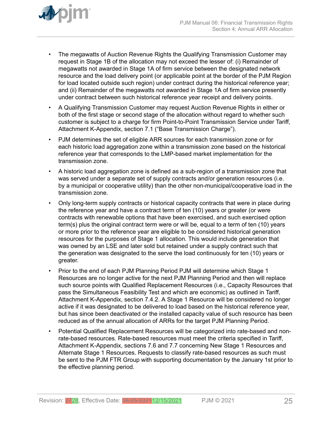

- The megawatts of Auction Revenue Rights the Qualifying Transmission Customer may request in Stage 1B of the allocation may not exceed the lesser of: (i) Remainder of megawatts not awarded in Stage 1A of firm service between the designated network resource and the load delivery point (or applicable point at the border of the PJM Region for load located outside such region) under contract during the historical reference year; and (ii) Remainder of the megawatts not awarded in Stage 1A of firm service presently under contract between such historical reference year receipt and delivery points.
- A Qualifying Transmission Customer may request Auction Revenue Rights in either or both of the first stage or second stage of the allocation without regard to whether such customer is subject to a charge for firm Point-to-Point Transmission Service under Tariff, Attachment K-Appendix, section 7.1 ("Base Transmission Charge").
- PJM determines the set of eligible ARR sources for each transmission zone or for each historic load aggregation zone within a transmission zone based on the historical reference year that corresponds to the LMP-based market implementation for the transmission zone.
- A historic load aggregation zone is defined as a sub-region of a transmission zone that was served under a separate set of supply contracts and/or generation resources (i.e. by a municipal or cooperative utility) than the other non-municipal/cooperative load in the transmission zone.
- Only long-term supply contracts or historical capacity contracts that were in place during the reference year and have a contract term of ten (10) years or greater (or were contracts with renewable options that have been exercised, and such exercised option term(s) plus the original contract term were or will be, equal to a term of ten (10) years or more prior to the reference year are eligible to be considered historical generation resources for the purposes of Stage 1 allocation. This would include generation that was owned by an LSE and later sold but retained under a supply contract such that the generation was designated to the serve the load continuously for ten (10) years or greater.
- Prior to the end of each PJM Planning Period PJM will determine which Stage 1 Resources are no longer active for the next PJM Planning Period and then will replace such source points with Qualified Replacement Resources (i.e., Capacity Resources that pass the Simultaneous Feasibility Test and which are economic) as outlined in Tariff, Attachment K-Appendix, section 7.4.2. A Stage 1 Resource will be considered no longer active if it was designated to be delivered to load based on the historical reference year, but has since been deactivated or the installed capacity value of such resource has been reduced as of the annual allocation of ARRs for the target PJM Planning Period.
- Potential Qualified Replacement Resources will be categorized into rate-based and nonrate-based resources. Rate-based resources must meet the criteria specified in Tariff, Attachment K-Appendix, sections 7.6 and 7.7 concerning New Stage 1 Resources and Alternate Stage 1 Resources. Requests to classify rate-based resources as such must be sent to the PJM FTR Group with supporting documentation by the January 1st prior to the effective planning period.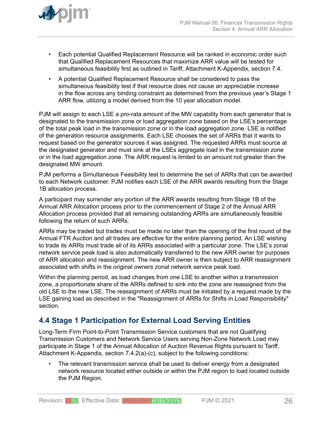<span id="page-25-0"></span>

- Each potential Qualified Replacement Resource will be ranked in economic order such that Qualified Replacement Resources that maximize ARR value will be tested for simultaneous feasibility first as outlined in Tariff, Attachment K-Appendix, section 7.4.
- A potential Qualified Replacement Resource shall be considered to pass the simultaneous feasibility test if that resource does not cause an appreciable increase in the flow across any binding constraint as determined from the previous year's Stage 1 ARR flow, utilizing a model derived from the 10 year allocation model.

PJM will assign to each LSE a pro-rata amount of the MW capability from each generator that is designated to the transmission zone or load aggregation zone based on the LSE's percentage of the total peak load in the transmission zone or in the load aggregation zone. LSE is notified of the generation resource assignments. Each LSE chooses the set of ARRs that it wants to request based on the generator sources it was assigned. The requested ARRs must source at the designated generator and must sink at the LSEs aggregate load in the transmission zone or in the load aggregation zone. The ARR request is limited to an amount not greater than the designated MW amount.

PJM performs a Simultaneous Feasibility test to determine the set of ARRs that can be awarded to each Network customer. PJM notifies each LSE of the ARR awards resulting from the Stage 1B allocation process.

A participant may surrender any portion of the ARR awards resulting from Stage 1B of the Annual ARR Allocation process prior to the commencement of Stage 2 of the Annual ARR Allocation process provided that all remaining outstanding ARRs are simultaneously feasible following the return of such ARRs.

ARRs may be traded but trades must be made no later than the opening of the first round of the Annual FTR Auction and all trades are effective for the entire planning period. An LSE wishing to trade its ARRs must trade all of its ARRs associated with a particular zone. The LSE's zonal network service peak load is also automatically transferred to the new ARR owner for purposes of ARR allocation and reassignment. The new ARR owner is then subject to ARR reassignment associated with shifts in the original owners zonal network service peak load.

Within the planning period, as load changes from one LSE to another within a transmission zone, a proportionate share of the ARRs defined to sink into the zone are reassigned from the old LSE to the new LSE. The reassignment of ARRs must be initiated by a request made by the LSE gaining load as described in the "Reassignment of ARRs for Shifts in Load Responsibility" section.

## **4.4 Stage 1 Participation for External Load Serving Entities**

Long-Term Firm Point-to-Point Transmission Service customers that are not Qualifying Transmission Customers and Network Service Users serving Non-Zone Network Load may participate in Stage 1 of the Annual Allocation of Auction Revenue Rights pursuant to Tariff, Attachment K-Appendix, section 7.4.2(a)-(c), subject to the following conditions:

The relevant transmission service shall be used to deliver energy from a designated network resource located either outside or within the PJM region to load located outside the PJM Region.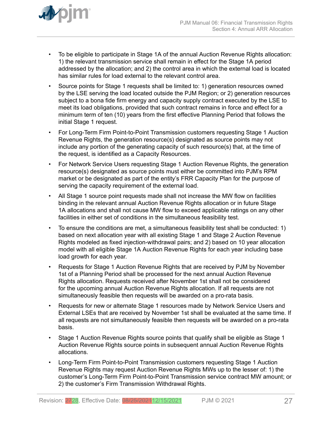

- To be eligible to participate in Stage 1A of the annual Auction Revenue Rights allocation: 1) the relevant transmission service shall remain in effect for the Stage 1A period addressed by the allocation; and 2) the control area in which the external load is located has similar rules for load external to the relevant control area.
- Source points for Stage 1 requests shall be limited to: 1) generation resources owned by the LSE serving the load located outside the PJM Region; or 2) generation resources subject to a bona fide firm energy and capacity supply contract executed by the LSE to meet its load obligations, provided that such contract remains in force and effect for a minimum term of ten (10) years from the first effective Planning Period that follows the initial Stage 1 request.
- For Long-Term Firm Point-to-Point Transmission customers requesting Stage 1 Auction Revenue Rights, the generation resource(s) designated as source points may not include any portion of the generating capacity of such resource(s) that, at the time of the request, is identified as a Capacity Resources.
- For Network Service Users requesting Stage 1 Auction Revenue Rights, the generation resource(s) designated as source points must either be committed into PJM's RPM market or be designated as part of the entity's FRR Capacity Plan for the purpose of serving the capacity requirement of the external load.
- All Stage 1 source point requests made shall not increase the MW flow on facilities binding in the relevant annual Auction Revenue Rights allocation or in future Stage 1A allocations and shall not cause MW flow to exceed applicable ratings on any other facilities in either set of conditions in the simultaneous feasibility test.
- To ensure the conditions are met, a simultaneous feasibility test shall be conducted: 1) based on next allocation year with all existing Stage 1 and Stage 2 Auction Revenue Rights modeled as fixed injection-withdrawal pairs; and 2) based on 10 year allocation model with all eligible Stage 1A Auction Revenue Rights for each year including base load growth for each year.
- Requests for Stage 1 Auction Revenue Rights that are received by PJM by November 1st of a Planning Period shall be processed for the next annual Auction Revenue Rights allocation. Requests received after November 1st shall not be considered for the upcoming annual Auction Revenue Rights allocation. If all requests are not simultaneously feasible then requests will be awarded on a pro-rata basis.
- Requests for new or alternate Stage 1 resources made by Network Service Users and External LSEs that are received by November 1st shall be evaluated at the same time. If all requests are not simultaneously feasible then requests will be awarded on a pro-rata basis.
- Stage 1 Auction Revenue Rights source points that qualify shall be eligible as Stage 1 Auction Revenue Rights source points in subsequent annual Auction Revenue Rights allocations.
- Long-Term Firm Point-to-Point Transmission customers requesting Stage 1 Auction Revenue Rights may request Auction Revenue Rights MWs up to the lesser of: 1) the customer's Long-Term Firm Point-to-Point Transmission service contract MW amount; or 2) the customer's Firm Transmission Withdrawal Rights.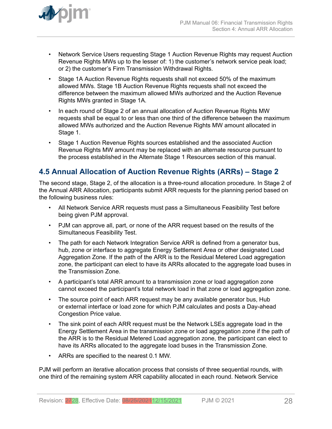<span id="page-27-0"></span>

- Network Service Users requesting Stage 1 Auction Revenue Rights may request Auction Revenue Rights MWs up to the lesser of: 1) the customer's network service peak load; or 2) the customer's Firm Transmission Withdrawal Rights.
- Stage 1A Auction Revenue Rights requests shall not exceed 50% of the maximum allowed MWs. Stage 1B Auction Revenue Rights requests shall not exceed the difference between the maximum allowed MWs authorized and the Auction Revenue Rights MWs granted in Stage 1A.
- In each round of Stage 2 of an annual allocation of Auction Revenue Rights MW requests shall be equal to or less than one third of the difference between the maximum allowed MWs authorized and the Auction Revenue Rights MW amount allocated in Stage 1.
- Stage 1 Auction Revenue Rights sources established and the associated Auction Revenue Rights MW amount may be replaced with an alternate resource pursuant to the process established in the Alternate Stage 1 Resources section of this manual.

## **4.5 Annual Allocation of Auction Revenue Rights (ARRs) – Stage 2**

The second stage, Stage 2, of the allocation is a three-round allocation procedure. In Stage 2 of the Annual ARR Allocation, participants submit ARR requests for the planning period based on the following business rules:

- All Network Service ARR requests must pass a Simultaneous Feasibility Test before being given PJM approval.
- PJM can approve all, part, or none of the ARR request based on the results of the Simultaneous Feasibility Test.
- The path for each Network Integration Service ARR is defined from a generator bus, hub, zone or interface to aggregate Energy Settlement Area or other designated Load Aggregation Zone. If the path of the ARR is to the Residual Metered Load aggregation zone, the participant can elect to have its ARRs allocated to the aggregate load buses in the Transmission Zone.
- A participant's total ARR amount to a transmission zone or load aggregation zone cannot exceed the participant's total network load in that zone or load aggregation zone.
- The source point of each ARR request may be any available generator bus, Hub or external interface or load zone for which PJM calculates and posts a Day-ahead Congestion Price value.
- The sink point of each ARR request must be the Network LSEs aggregate load in the Energy Settlement Area in the transmission zone or load aggregation zone if the path of the ARR is to the Residual Metered Load aggregation zone, the participant can elect to have its ARRs allocated to the aggregate load buses in the Transmission Zone.
- ARRs are specified to the nearest 0.1 MW.

PJM will perform an iterative allocation process that consists of three sequential rounds, with one third of the remaining system ARR capability allocated in each round. Network Service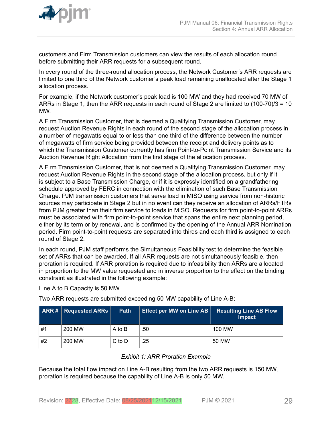<span id="page-28-0"></span>

customers and Firm Transmission customers can view the results of each allocation round before submitting their ARR requests for a subsequent round.

In every round of the three-round allocation process, the Network Customer's ARR requests are limited to one third of the Network customer's peak load remaining unallocated after the Stage 1 allocation process.

For example, if the Network customer's peak load is 100 MW and they had received 70 MW of ARRs in Stage 1, then the ARR requests in each round of Stage 2 are limited to (100-70)/3 = 10 MW.

A Firm Transmission Customer, that is deemed a Qualifying Transmission Customer, may request Auction Revenue Rights in each round of the second stage of the allocation process in a number of megawatts equal to or less than one third of the difference between the number of megawatts of firm service being provided between the receipt and delivery points as to which the Transmission Customer currently has firm Point-to-Point Transmission Service and its Auction Revenue Right Allocation from the first stage of the allocation process.

A Firm Transmission Customer, that is not deemed a Qualifying Transmission Customer, may request Auction Revenue Rights in the second stage of the allocation process, but only if it is subject to a Base Transmission Charge, or if it is expressly identified on a grandfathering schedule approved by FERC in connection with the elimination of such Base Transmission Charge. PJM transmission customers that serve load in MISO using service from non-historic sources may participate in Stage 2 but in no event can they receive an allocation of ARRs/FTRs from PJM greater than their firm service to loads in MISO. Requests for firm point-to-point ARRs must be associated with firm point-to-point service that spans the entire next planning period, either by its term or by renewal, and is confirmed by the opening of the Annual ARR Nomination period. Firm point-to-point requests are separated into thirds and each third is assigned to each round of Stage 2.

In each round, PJM staff performs the Simultaneous Feasibility test to determine the feasible set of ARRs that can be awarded. If all ARR requests are not simultaneously feasible, then proration is required. If ARR proration is required due to infeasibility then ARRs are allocated in proportion to the MW value requested and in inverse proportion to the effect on the binding constraint as illustrated in the following example:

Line A to B Capacity is 50 MW

Two ARR requests are submitted exceeding 50 MW capability of Line A-B:

|    | <b>ARR#</b> Requested ARRs | Path       | <b>Effect per MW on Line AB</b> | <b>Resulting Line AB Flow</b><br><b>Impact</b> |
|----|----------------------------|------------|---------------------------------|------------------------------------------------|
| #1 | 200 MW                     | A to B     | .50                             | 100 MW                                         |
| #2 | 200 MW                     | $C$ to $D$ | .25                             | 50 MW                                          |

### *Exhibit 1: ARR Proration Example*

Because the total flow impact on Line A-B resulting from the two ARR requests is 150 MW, proration is required because the capability of Line A-B is only 50 MW.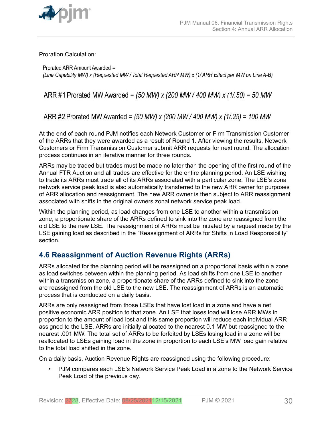<span id="page-29-0"></span>

Proration Calculation:

Prorated ARR Amount Awarded = (Line Capability MW) x (Requested MW / Total Requested ARR MW) x (1/ ARR Effect per MW on Line A-B)

ARR #1 Prorated MW Awarded =  $(50 \text{ MW}) \times (200 \text{ MW} / 400 \text{ MW}) \times (1/0.50) = 50 \text{ MW}$ 

ARR #2 Prorated MW Awarded = (50 MW) x (200 MW / 400 MW) x (1/.25) = 100 MW

At the end of each round PJM notifies each Network Customer or Firm Transmission Customer of the ARRs that they were awarded as a result of Round 1. After viewing the results, Network Customers or Firm Transmission Customer submit ARR requests for next round. The allocation process continues in an iterative manner for three rounds.

ARRs may be traded but trades must be made no later than the opening of the first round of the Annual FTR Auction and all trades are effective for the entire planning period. An LSE wishing to trade its ARRs must trade all of its ARRs associated with a particular zone. The LSE's zonal network service peak load is also automatically transferred to the new ARR owner for purposes of ARR allocation and reassignment. The new ARR owner is then subject to ARR reassignment associated with shifts in the original owners zonal network service peak load.

Within the planning period, as load changes from one LSE to another within a transmission zone, a proportionate share of the ARRs defined to sink into the zone are reassigned from the old LSE to the new LSE. The reassignment of ARRs must be initiated by a request made by the LSE gaining load as described in the "Reassignment of ARRs for Shifts in Load Responsibility" section.

## **4.6 Reassignment of Auction Revenue Rights (ARRs)**

ARRs allocated for the planning period will be reassigned on a proportional basis within a zone as load switches between within the planning period. As load shifts from one LSE to another within a transmission zone, a proportionate share of the ARRs defined to sink into the zone are reassigned from the old LSE to the new LSE. The reassignment of ARRs is an automatic process that is conducted on a daily basis.

ARRs are only reassigned from those LSEs that have lost load in a zone and have a net positive economic ARR position to that zone. An LSE that loses load will lose ARR MWs in proportion to the amount of load lost and this same proportion will reduce each individual ARR assigned to the LSE. ARRs are initially allocated to the nearest 0.1 MW but reassigned to the nearest .001 MW. The total set of ARRs to be forfeited by LSEs losing load in a zone will be reallocated to LSEs gaining load in the zone in proportion to each LSE's MW load gain relative to the total load shifted in the zone.

On a daily basis, Auction Revenue Rights are reassigned using the following procedure:

• PJM compares each LSE's Network Service Peak Load in a zone to the Network Service Peak Load of the previous day.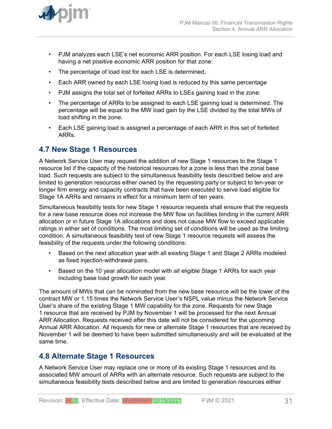<span id="page-30-0"></span>

- PJM analyzes each LSE's net economic ARR position. For each LSE losing load and having a net positive economic ARR position for that zone:
- The percentage of load lost for each LSE is determined,
- Each ARR owned by each LSE losing load is reduced by this same percentage
- PJM assigns the total set of forfeited ARRs to LSEs gaining load in the zone:
- The percentage of ARRs to be assigned to each LSE gaining load is determined. The percentage will be equal to the MW load gain by the LSE divided by the total MWs of load shifting in the zone.
- Each LSE gaining load is assigned a percentage of each ARR in this set of forfeited ARRs.

### **4.7 New Stage 1 Resources**

A Network Service User may request the addition of new Stage 1 resources to the Stage 1 resource list if the capacity of the historical resources for a zone is less than the zonal base load. Such requests are subject to the simultaneous feasibility tests described below and are limited to generation resources either owned by the requesting party or subject to ten-year or longer firm energy and capacity contracts that have been executed to serve load eligible for Stage 1A ARRs and remains in effect for a minimum term of ten years.

Simultaneous feasibility tests for new Stage 1 resource requests shall ensure that the requests for a new base resource does not increase the MW flow on facilities binding in the current ARR allocation or in future Stage 1A allocations and does not cause MW flow to exceed applicable ratings in either set of conditions. The most limiting set of conditions will be used as the limiting condition. A simultaneous feasibility test of new Stage 1 resource requests will assess the feasibility of the requests under the following conditions:

- Based on the next allocation year with all existing Stage 1 and Stage 2 ARRs modeled as fixed injection-withdrawal pairs.
- Based on the 10 year allocation model with all eligible Stage 1 ARRs for each year including base load growth for each year.

The amount of MWs that can be nominated from the new base resource will be the lower of the contract MW or 1.15 times the Network Service User's NSPL value minus the Network Service User's share of the existing Stage 1 MW capability for the zone. Requests for new Stage 1 resource that are received by PJM by November 1 will be processed for the next Annual ARR Allocation. Requests received after this date will not be considered for the upcoming Annual ARR Allocation. All requests for new or alternate Stage 1 resources that are received by November 1 will be deemed to have been submitted simultaneously and will be evaluated at the same time.

### **4.8 Alternate Stage 1 Resources**

A Network Service User may replace one or more of its existing Stage 1 resources and its associated MW amount of ARRs with an alternate resource. Such requests are subject to the simultaneous feasibility tests described below and are limited to generation resources either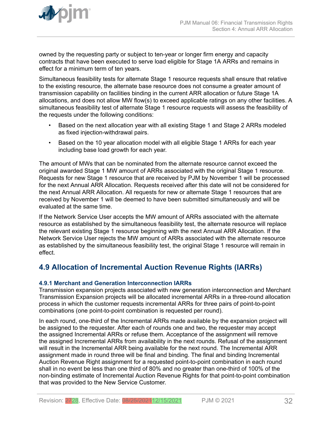<span id="page-31-0"></span>

owned by the requesting party or subject to ten-year or longer firm energy and capacity contracts that have been executed to serve load eligible for Stage 1A ARRs and remains in effect for a minimum term of ten years.

Simultaneous feasibility tests for alternate Stage 1 resource requests shall ensure that relative to the existing resource, the alternate base resource does not consume a greater amount of transmission capability on facilities binding in the current ARR allocation or future Stage 1A allocations, and does not allow MW flow(s) to exceed applicable ratings on any other facilities. A simultaneous feasibility test of alternate Stage 1 resource requests will assess the feasibility of the requests under the following conditions:

- Based on the next allocation year with all existing Stage 1 and Stage 2 ARRs modeled as fixed injection-withdrawal pairs.
- Based on the 10 year allocation model with all eligible Stage 1 ARRs for each year including base load growth for each year.

The amount of MWs that can be nominated from the alternate resource cannot exceed the original awarded Stage 1 MW amount of ARRs associated with the original Stage 1 resource. Requests for new Stage 1 resource that are received by PJM by November 1 will be processed for the next Annual ARR Allocation. Requests received after this date will not be considered for the next Annual ARR Allocation. All requests for new or alternate Stage 1 resources that are received by November 1 will be deemed to have been submitted simultaneously and will be evaluated at the same time.

If the Network Service User accepts the MW amount of ARRs associated with the alternate resource as established by the simultaneous feasibility test, the alternate resource will replace the relevant existing Stage 1 resource beginning with the next Annual ARR Allocation. If the Network Service User rejects the MW amount of ARRs associated with the alternate resource as established by the simultaneous feasibility test, the original Stage 1 resource will remain in effect.

## **4.9 Allocation of Incremental Auction Revenue Rights (IARRs)**

### **4.9.1 Merchant and Generation Interconnection IARRs**

Transmission expansion projects associated with new generation interconnection and Merchant Transmission Expansion projects will be allocated incremental ARRs in a three-round allocation process in which the customer requests incremental ARRs for three pairs of point-to-point combinations (one point-to-point combination is requested per round).

In each round, one-third of the Incremental ARRs made available by the expansion project will be assigned to the requester. After each of rounds one and two, the requester may accept the assigned Incremental ARRs or refuse them. Acceptance of the assignment will remove the assigned Incremental ARRs from availability in the next rounds. Refusal of the assignment will result in the Incremental ARR being available for the next round. The Incremental ARR assignment made in round three will be final and binding. The final and binding Incremental Auction Revenue Right assignment for a requested point-to-point combination in each round shall in no event be less than one third of 80% and no greater than one-third of 100% of the non-binding estimate of Incremental Auction Revenue Rights for that point-to-point combination that was provided to the New Service Customer.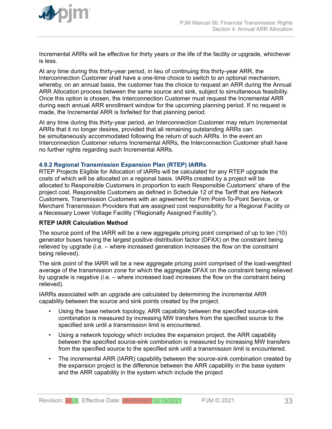<span id="page-32-0"></span>

Incremental ARRs will be effective for thirty years or the life of the facility or upgrade, whichever is less.

At any time during this thirty-year period, in lieu of continuing this thirty-year ARR, the Interconnection Customer shall have a one-time choice to switch to an optional mechanism, whereby, on an annual basis, the customer has the choice to request an ARR during the Annual ARR Allocation process between the same source and sink, subject to simultaneous feasibility. Once this option is chosen, the Interconnection Customer must request the Incremental ARR during each annual ARR enrollment window for the upcoming planning period. If no request is made, the Incremental ARR is forfeited for that planning period.

At any time during this thirty-year period, an Interconnection Customer may return Incremental ARRs that it no longer desires, provided that all remaining outstanding ARRs can be simultaneously accommodated following the return of such ARRs. In the event an Interconnection Customer returns Incremental ARRs, the Interconnection Customer shall have no further rights regarding such Incremental ARRs.

#### **4.9.2 Regional Transmission Expansion Plan (RTEP) IARRs**

RTEP Projects Eligible for Allocation of IARRs will be calculated for any RTEP upgrade the costs of which will be allocated on a regional basis. IARRs created by a project will be allocated to Responsible Customers in proportion to each Responsible Customers' share of the project cost. Responsible Customers as defined in Schedule 12 of the Tariff that are Network Customers, Transmission Customers with an agreement for Firm Point-To-Point Service, or Merchant Transmission Providers that are assigned cost responsibility for a Regional Facility or a Necessary Lower Voltage Facility ("Regionally Assigned Facility").

#### **RTEP IARR Calculation Method**

The source point of the IARR will be a new aggregate pricing point comprised of up to ten (10) generator buses having the largest positive distribution factor (DFAX) on the constraint being relieved by upgrade (i.e. – where increased generation increases the flow on the constraint being relieved).

The sink point of the IARR will be a new aggregate pricing point comprised of the load-weighted average of the transmission zone for which the aggregate DFAX on the constraint being relieved by upgrade is negative (i.e. – where increased load increases the flow on the constraint being relieved).

IARRs associated with an upgrade are calculated by determining the incremental ARR capability between the source and sink points created by the project.

- Using the base network topology, ARR capability between the specified source-sink combination is measured by increasing MW transfers from the specified source to the specified sink until a transmission limit is encountered.
- Using a network topology which includes the expansion project, the ARR capability between the specified source-sink combination is measured by increasing MW transfers from the specified source to the specified sink until a transmission limit is encountered.
- The incremental ARR (IARR) capability between the source-sink combination created by the expansion project is the difference between the ARR capability in the base system and the ARR capability in the system which include the project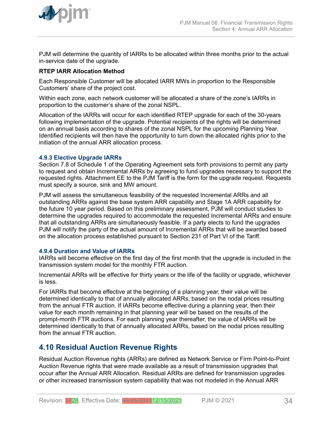<span id="page-33-0"></span>

PJM will determine the quantity of IARRs to be allocated within three months prior to the actual in-service date of the upgrade.

### **RTEP IARR Allocation Method**

Each Responsible Customer will be allocated IARR MWs in proportion to the Responsible Customers' share of the project cost.

Within each zone, each network customer will be allocated a share of the zone's IARRs in proportion to the customer's share of the zonal NSPL.

Allocation of the IARRs will occur for each identified RTEP upgrade for each of the 30-years following implementation of the upgrade. Potential recipients of the rights will be determined on an annual basis according to shares of the zonal NSPL for the upcoming Planning Year. Identified recipients will then have the opportunity to turn down the allocated rights prior to the initiation of the annual ARR allocation process.

#### **4.9.3 Elective Upgrade IARRs**

Section 7.8 of Schedule 1 of the Operating Agreement sets forth provisions to permit any party to request and obtain Incremental ARRs by agreeing to fund upgrades necessary to support the requested rights. Attachment EE to the PJM Tariff is the form for the upgrade request. Requests must specify a source, sink and MW amount.

PJM will assess the simultaneous feasibility of the requested Incremental ARRs and all outstanding ARRs against the base system ARR capability and Stage 1A ARR capability for the future 10 year period. Based on this preliminary assessment, PJM will conduct studies to determine the upgrades required to accommodate the requested Incremental ARRs and ensure that all outstanding ARRs are simultaneously feasible. If a party elects to fund the upgrades PJM will notify the party of the actual amount of Incremental ARRs that will be awarded based on the allocation process established pursuant to Section 231 of Part VI of the Tariff.

#### **4.9.4 Duration and Value of IARRs**

IARRs will become effective on the first day of the first month that the upgrade is included in the transmission system model for the monthly FTR auction.

Incremental ARRs will be effective for thirty years or the life of the facility or upgrade, whichever is less.

For IARRs that become effective at the beginning of a planning year, their value will be determined identically to that of annually allocated ARRs, based on the nodal prices resulting from the annual FTR auction. If IARRs become effective during a planning year, then their value for each month remaining in that planning year will be based on the results of the prompt-month FTR auctions. For each planning year thereafter, the value of IARRs will be determined identically to that of annually allocated ARRs, based on the nodal prices resulting from the annual FTR auction.

### **4.10 Residual Auction Revenue Rights**

Residual Auction Revenue rights (ARRs) are defined as Network Service or Firm Point-to-Point Auction Revenue rights that were made available as a result of transmission upgrades that occur after the Annual ARR Allocation. Residual ARRs are defined for transmission upgrades or other increased transmission system capability that was not modeled in the Annual ARR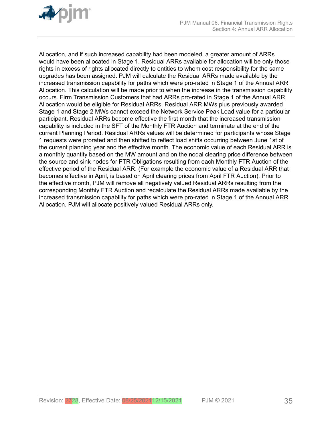

Allocation, and if such increased capability had been modeled, a greater amount of ARRs would have been allocated in Stage 1. Residual ARRs available for allocation will be only those rights in excess of rights allocated directly to entities to whom cost responsibility for the same upgrades has been assigned. PJM will calculate the Residual ARRs made available by the increased transmission capability for paths which were pro-rated in Stage 1 of the Annual ARR Allocation. This calculation will be made prior to when the increase in the transmission capability occurs. Firm Transmission Customers that had ARRs pro-rated in Stage 1 of the Annual ARR Allocation would be eligible for Residual ARRs. Residual ARR MWs plus previously awarded Stage 1 and Stage 2 MWs cannot exceed the Network Service Peak Load value for a particular participant. Residual ARRs become effective the first month that the increased transmission capability is included in the SFT of the Monthly FTR Auction and terminate at the end of the current Planning Period. Residual ARRs values will be determined for participants whose Stage 1 requests were prorated and then shifted to reflect load shifts occurring between June 1st of the current planning year and the effective month. The economic value of each Residual ARR is a monthly quantity based on the MW amount and on the nodal clearing price difference between the source and sink nodes for FTR Obligations resulting from each Monthly FTR Auction of the effective period of the Residual ARR. (For example the economic value of a Residual ARR that becomes effective in April, is based on April clearing prices from April FTR Auction). Prior to the effective month, PJM will remove all negatively valued Residual ARRs resulting from the corresponding Monthly FTR Auction and recalculate the Residual ARRs made available by the increased transmission capability for paths which were pro-rated in Stage 1 of the Annual ARR Allocation. PJM will allocate positively valued Residual ARRs only.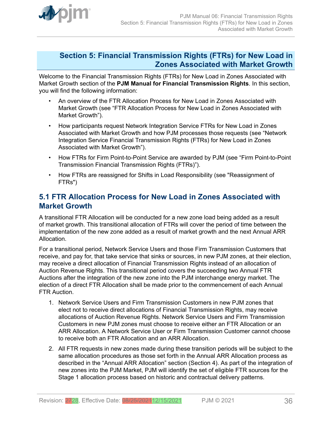<span id="page-35-0"></span>

### **Section 5: Financial Transmission Rights (FTRs) for New Load in Zones Associated with Market Growth**

Welcome to the Financial Transmission Rights (FTRs) for New Load in Zones Associated with Market Growth section of the **PJM Manual for Financial Transmission Rights**. In this section, you will find the following information:

- An overview of the FTR Allocation Process for New Load in Zones Associated with Market Growth (see "FTR Allocation Process for New Load in Zones Associated with Market Growth").
- How participants request Network Integration Service FTRs for New Load in Zones Associated with Market Growth and how PJM processes those requests (see "Network Integration Service Financial Transmission Rights (FTRs) for New Load in Zones Associated with Market Growth").
- How FTRs for Firm Point-to-Point Service are awarded by PJM (see "Firm Point-to-Point Transmission Financial Transmission Rights (FTRs)").
- How FTRs are reassigned for Shifts in Load Responsibility (see "Reassignment of FTRs")

## **5.1 FTR Allocation Process for New Load in Zones Associated with Market Growth**

A transitional FTR Allocation will be conducted for a new zone load being added as a result of market growth. This transitional allocation of FTRs will cover the period of time between the implementation of the new zone added as a result of market growth and the next Annual ARR Allocation.

For a transitional period, Network Service Users and those Firm Transmission Customers that receive, and pay for, that take service that sinks or sources, in new PJM zones, at their election, may receive a direct allocation of Financial Transmission Rights instead of an allocation of Auction Revenue Rights. This transitional period covers the succeeding two Annual FTR Auctions after the integration of the new zone into the PJM interchange energy market. The election of a direct FTR Allocation shall be made prior to the commencement of each Annual FTR Auction.

- 1. Network Service Users and Firm Transmission Customers in new PJM zones that elect not to receive direct allocations of Financial Transmission Rights, may receive allocations of Auction Revenue Rights. Network Service Users and Firm Transmission Customers in new PJM zones must choose to receive either an FTR Allocation or an ARR Allocation. A Network Service User or Firm Transmission Customer cannot choose to receive both an FTR Allocation and an ARR Allocation.
- 2. All FTR requests in new zones made during these transition periods will be subject to the same allocation procedures as those set forth in the Annual ARR Allocation process as described in the "Annual ARR Allocation" section (Section 4). As part of the integration of new zones into the PJM Market, PJM will identify the set of eligible FTR sources for the Stage 1 allocation process based on historic and contractual delivery patterns.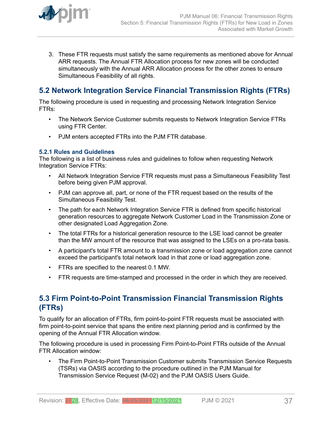<span id="page-36-0"></span>

3. These FTR requests must satisfy the same requirements as mentioned above for Annual ARR requests. The Annual FTR Allocation process for new zones will be conducted simultaneously with the Annual ARR Allocation process for the other zones to ensure Simultaneous Feasibility of all rights.

## **5.2 Network Integration Service Financial Transmission Rights (FTRs)**

The following procedure is used in requesting and processing Network Integration Service FTRs:

- The Network Service Customer submits requests to Network Integration Service FTRs using FTR Center.
- PJM enters accepted FTRs into the PJM FTR database.

### **5.2.1 Rules and Guidelines**

The following is a list of business rules and guidelines to follow when requesting Network Integration Service FTRs:

- All Network Integration Service FTR requests must pass a Simultaneous Feasibility Test before being given PJM approval.
- PJM can approve all, part, or none of the FTR request based on the results of the Simultaneous Feasibility Test.
- The path for each Network Integration Service FTR is defined from specific historical generation resources to aggregate Network Customer Load in the Transmission Zone or other designated Load Aggregation Zone.
- The total FTRs for a historical generation resource to the LSE load cannot be greater than the MW amount of the resource that was assigned to the LSEs on a pro-rata basis.
- A participant's total FTR amount to a transmission zone or load aggregation zone cannot exceed the participant's total network load in that zone or load aggregation zone.
- FTRs are specified to the nearest 0.1 MW.
- FTR requests are time-stamped and processed in the order in which they are received.

## **5.3 Firm Point-to-Point Transmission Financial Transmission Rights (FTRs)**

To qualify for an allocation of FTRs, firm point-to-point FTR requests must be associated with firm point-to-point service that spans the entire next planning period and is confirmed by the opening of the Annual FTR Allocation window.

The following procedure is used in processing Firm Point-to-Point FTRs outside of the Annual FTR Allocation window:

• The Firm Point-to-Point Transmission Customer submits Transmission Service Requests (TSRs) via OASIS according to the procedure outlined in the PJM Manual for Transmission Service Request (M-02) and the PJM OASIS Users Guide.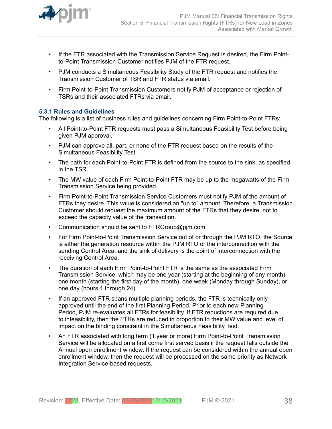<span id="page-37-0"></span>

- If the FTR associated with the Transmission Service Request is desired, the Firm Pointto-Point Transmission Customer notifies PJM of the FTR request.
- PJM conducts a Simultaneous Feasibility Study of the FTR request and notifies the Transmission Customer of TSR and FTR status via email.
- Firm Point-to-Point Transmission Customers notify PJM of acceptance or rejection of TSRs and their associated FTRs via email.

### **5.3.1 Rules and Guidelines**

The following is a list of business rules and guidelines concerning Firm Point-to-Point FTRs:

- All Point-to-Point FTR requests must pass a Simultaneous Feasibility Test before being given PJM approval.
- PJM can approve all, part, or none of the FTR request based on the results of the Simultaneous Feasibility Test.
- The path for each Point-to-Point FTR is defined from the source to the sink, as specified in the TSR.
- The MW value of each Firm Point-to-Point FTR may be up to the megawatts of the Firm Transmission Service being provided.
- Firm Point-to-Point Transmission Service Customers must notify PJM of the amount of FTRs they desire. This value is considered an "up to" amount. Therefore, a Transmission Customer should request the maximum amount of the FTRs that they desire, not to exceed the capacity value of the transaction.
- Communication should be sent to FTRGroup@pjm.com.
- For Firm Point-to-Point Transmission Service out of or through the PJM RTO, the Source is either the generation resource within the PJM RTO or the interconnection with the sending Control Area; and the sink of delivery is the point of interconnection with the receiving Control Area.
- The duration of each Firm Point-to-Point FTR is the same as the associated Firm Transmission Service, which may be one year (starting at the beginning of any month), one month (starting the first day of the month), one week (Monday through Sunday), or one day (hours 1 through 24).
- If an approved FTR spans multiple planning periods, the FTR is technically only approved until the end of the first Planning Period. Prior to each new Planning Period, PJM re-evaluates all FTRs for feasibility. If FTR reductions are required due to infeasibility, then the FTRs are reduced in proportion to their MW value and level of impact on the binding constraint in the Simultaneous Feasibility Test.
- An FTR associated with long term (1 year or more) Firm Point-to-Point Transmission Service will be allocated on a first come first served basis if the request falls outside the Annual open enrollment window. If the request can be considered within the annual open enrollment window, then the request will be processed on the same priority as Network Integration Service-based requests.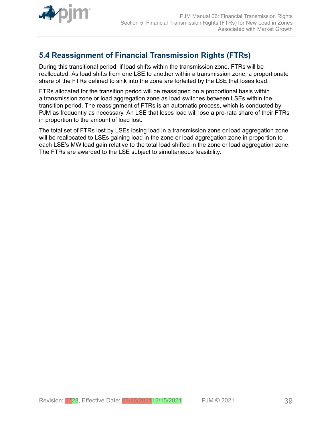<span id="page-38-0"></span>

## **5.4 Reassignment of Financial Transmission Rights (FTRs)**

During this transitional period, if load shifts within the transmission zone, FTRs will be reallocated. As load shifts from one LSE to another within a transmission zone, a proportionate share of the FTRs defined to sink into the zone are forfeited by the LSE that loses load.

FTRs allocated for the transition period will be reassigned on a proportional basis within a transmission zone or load aggregation zone as load switches between LSEs within the transition period. The reassignment of FTRs is an automatic process, which is conducted by PJM as frequently as necessary. An LSE that loses load will lose a pro-rata share of their FTRs in proportion to the amount of load lost.

The total set of FTRs lost by LSEs losing load in a transmission zone or load aggregation zone will be reallocated to LSEs gaining load in the zone or load aggregation zone in proportion to each LSE's MW load gain relative to the total load shifted in the zone or load aggregation zone. The FTRs are awarded to the LSE subject to simultaneous feasibility.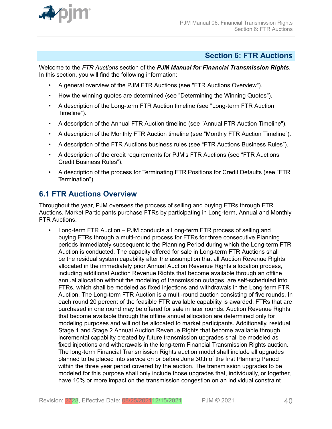<span id="page-39-0"></span>

### **Section 6: FTR Auctions**

Welcome to the *FTR Auctions* section of the *PJM Manual for Financial Transmission Rights*. In this section, you will find the following information:

- A general overview of the PJM FTR Auctions (see "FTR Auctions Overview").
- How the winning quotes are determined (see "Determining the Winning Quotes").
- A description of the Long-term FTR Auction timeline (see "Long-term FTR Auction Timeline").
- A description of the Annual FTR Auction timeline (see "Annual FTR Auction Timeline").
- A description of the Monthly FTR Auction timeline (see "Monthly FTR Auction Timeline").
- A description of the FTR Auctions business rules (see "FTR Auctions Business Rules").
- A description of the credit requirements for PJM's FTR Auctions (see "FTR Auctions Credit Business Rules").
- A description of the process for Terminating FTR Positions for Credit Defaults (see "FTR Termination").

### **6.1 FTR Auctions Overview**

Throughout the year, PJM oversees the process of selling and buying FTRs through FTR Auctions. Market Participants purchase FTRs by participating in Long-term, Annual and Monthly FTR Auctions.

• Long-term FTR Auction – PJM conducts a Long-term FTR process of selling and buying FTRs through a multi-round process for FTRs for three consecutive Planning periods immediately subsequent to the Planning Period during which the Long-term FTR Auction is conducted. The capacity offered for sale in Long-term FTR Auctions shall be the residual system capability after the assumption that all Auction Revenue Rights allocated in the immediately prior Annual Auction Revenue Rights allocation process, including additional Auction Revenue Rights that become available through an offline annual allocation without the modeling of transmission outages, are self-scheduled into FTRs, which shall be modeled as fixed injections and withdrawals in the Long-term FTR Auction. The Long-term FTR Auction is a multi-round auction consisting of five rounds. In each round 20 percent of the feasible FTR available capability is awarded. FTRs that are purchased in one round may be offered for sale in later rounds. Auction Revenue Rights that become available through the offline annual allocation are determined only for modeling purposes and will not be allocated to market participants. Additionally, residual Stage 1 and Stage 2 Annual Auction Revenue Rights that become available through incremental capability created by future transmission upgrades shall be modeled as fixed injections and withdrawals in the long-term Financial Transmission Rights auction. The long-term Financial Transmission Rights auction model shall include all upgrades planned to be placed into service on or before June 30th of the first Planning Period within the three year period covered by the auction. The transmission upgrades to be modeled for this purpose shall only include those upgrades that, individually, or together, have 10% or more impact on the transmission congestion on an individual constraint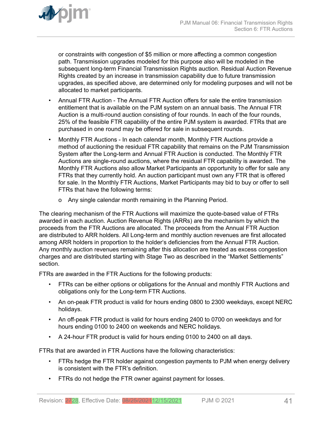

or constraints with congestion of \$5 million or more affecting a common congestion path. Transmission upgrades modeled for this purpose also will be modeled in the subsequent long-term Financial Transmission Rights auction. Residual Auction Revenue Rights created by an increase in transmission capability due to future transmission upgrades, as specified above, are determined only for modeling purposes and will not be allocated to market participants.

- Annual FTR Auction The Annual FTR Auction offers for sale the entire transmission entitlement that is available on the PJM system on an annual basis. The Annual FTR Auction is a multi-round auction consisting of four rounds. In each of the four rounds, 25% of the feasible FTR capability of the entire PJM system is awarded. FTRs that are purchased in one round may be offered for sale in subsequent rounds.
- Monthly FTR Auctions In each calendar month, Monthly FTR Auctions provide a method of auctioning the residual FTR capability that remains on the PJM Transmission System after the Long-term and Annual FTR Auction is conducted. The Monthly FTR Auctions are single-round auctions, where the residual FTR capability is awarded. The Monthly FTR Auctions also allow Market Participants an opportunity to offer for sale any FTRs that they currently hold. An auction participant must own any FTR that is offered for sale. In the Monthly FTR Auctions, Market Participants may bid to buy or offer to sell FTRs that have the following terms:
	- o Any single calendar month remaining in the Planning Period.

The clearing mechanism of the FTR Auctions will maximize the quote-based value of FTRs awarded in each auction. Auction Revenue Rights (ARRs) are the mechanism by which the proceeds from the FTR Auctions are allocated. The proceeds from the Annual FTR Auction are distributed to ARR holders. All Long-term and monthly auction revenues are first allocated among ARR holders in proportion to the holder's deficiencies from the Annual FTR Auction. Any monthly auction revenues remaining after this allocation are treated as excess congestion charges and are distributed starting with Stage Two as described in the "Market Settlements" section.

FTRs are awarded in the FTR Auctions for the following products:

- FTRs can be either options or obligations for the Annual and monthly FTR Auctions and obligations only for the Long-term FTR Auctions.
- An on-peak FTR product is valid for hours ending 0800 to 2300 weekdays, except NERC holidays.
- An off-peak FTR product is valid for hours ending 2400 to 0700 on weekdays and for hours ending 0100 to 2400 on weekends and NERC holidays.
- A 24-hour FTR product is valid for hours ending 0100 to 2400 on all days.

FTRs that are awarded in FTR Auctions have the following characteristics:

- FTRs hedge the FTR holder against congestion payments to PJM when energy delivery is consistent with the FTR's definition.
- FTRs do not hedge the FTR owner against payment for losses.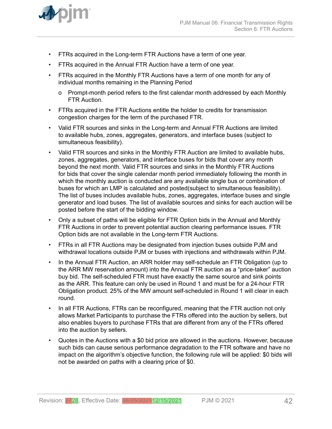

- FTRs acquired in the Long-term FTR Auctions have a term of one year.
- FTRs acquired in the Annual FTR Auction have a term of one year.
- FTRs acquired in the Monthly FTR Auctions have a term of one month for any of individual months remaining in the Planning Period
	- o Prompt-month period refers to the first calendar month addressed by each Monthly FTR Auction.
- FTRs acquired in the FTR Auctions entitle the holder to credits for transmission congestion charges for the term of the purchased FTR.
- Valid FTR sources and sinks in the Long-term and Annual FTR Auctions are limited to available hubs, zones, aggregates, generators, and interface buses (subject to simultaneous feasibility).
- Valid FTR sources and sinks in the Monthly FTR Auction are limited to available hubs, zones, aggregates, generators, and interface buses for bids that cover any month beyond the next month. Valid FTR sources and sinks in the Monthly FTR Auctions for bids that cover the single calendar month period immediately following the month in which the monthly auction is conducted are any available single bus or combination of buses for which an LMP is calculated and posted(subject to simultaneous feasibility). The list of buses includes available hubs, zones, aggregates, interface buses and single generator and load buses. The list of available sources and sinks for each auction will be posted before the start of the bidding window.
- Only a subset of paths will be eligible for FTR Option bids in the Annual and Monthly FTR Auctions in order to prevent potential auction clearing performance issues. FTR Option bids are not available in the Long-term FTR Auctions.
- FTRs in all FTR Auctions may be designated from injection buses outside PJM and withdrawal locations outside PJM or buses with injections and withdrawals within PJM.
- In the Annual FTR Auction, an ARR holder may self-schedule an FTR Obligation (up to the ARR MW reservation amount) into the Annual FTR auction as a "price-taker" auction buy bid. The self-scheduled FTR must have exactly the same source and sink points as the ARR. This feature can only be used in Round 1 and must be for a 24-hour FTR Obligation product. 25% of the MW amount self-scheduled in Round 1 will clear in each round.
- In all FTR Auctions, FTRs can be reconfigured, meaning that the FTR auction not only allows Market Participants to purchase the FTRs offered into the auction by sellers, but also enables buyers to purchase FTRs that are different from any of the FTRs offered into the auction by sellers.
- Quotes in the Auctions with a \$0 bid price are allowed in the auctions. However, because such bids can cause serious performance degradation to the FTR software and have no impact on the algorithm's objective function, the following rule will be applied: \$0 bids will not be awarded on paths with a clearing price of \$0.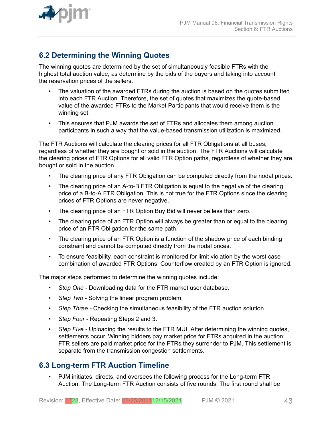

Section 6: FTR Auctions

<span id="page-42-0"></span>

## **6.2 Determining the Winning Quotes**

The winning quotes are determined by the set of simultaneously feasible FTRs with the highest total auction value, as determine by the bids of the buyers and taking into account the reservation prices of the sellers.

- The valuation of the awarded FTRs during the auction is based on the quotes submitted into each FTR Auction. Therefore, the set of quotes that maximizes the quote-based value of the awarded FTRs to the Market Participants that would receive them is the winning set.
- This ensures that PJM awards the set of FTRs and allocates them among auction participants in such a way that the value-based transmission utilization is maximized.

The FTR Auctions will calculate the clearing prices for all FTR Obligations at all buses, regardless of whether they are bought or sold in the auction. The FTR Auctions will calculate the clearing prices of FTR Options for all valid FTR Option paths, regardless of whether they are bought or sold in the auction.

- The clearing price of any FTR Obligation can be computed directly from the nodal prices.
- The clearing price of an A-to-B FTR Obligation is equal to the negative of the clearing price of a B-to-A FTR Obligation. This is not true for the FTR Options since the clearing prices of FTR Options are never negative.
- The clearing price of an FTR Option Buy Bid will never be less than zero.
- The clearing price of an FTR Option will always be greater than or equal to the clearing price of an FTR Obligation for the same path.
- The clearing price of an FTR Option is a function of the shadow price of each binding constraint and cannot be computed directly from the nodal prices.
- To ensure feasibility, each constraint is monitored for limit violation by the worst case combination of awarded FTR Options. Counterflow created by an FTR Option is ignored.

The major steps performed to determine the winning quotes include:

- *Step One* Downloading data for the FTR market user database.
- *Step Two* Solving the linear program problem.
- *Step Three* Checking the simultaneous feasibility of the FTR auction solution.
- *Step Four* Repeating Steps 2 and 3.
- *Step Five Uploading the results to the FTR MUI. After determining the winning quotes,* settlements occur. Winning bidders pay market price for FTRs acquired in the auction; FTR sellers are paid market price for the FTRs they surrender to PJM. This settlement is separate from the transmission congestion settlements.

### **6.3 Long-term FTR Auction Timeline**

• PJM initiates, directs, and oversees the following process for the Long-term FTR Auction. The Long-term FTR Auction consists of five rounds. The first round shall be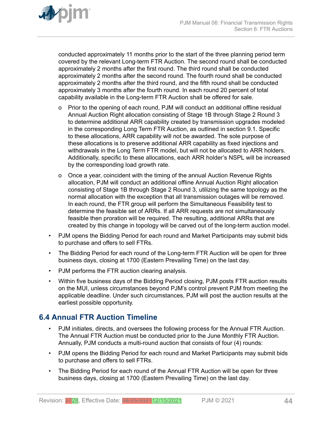<span id="page-43-0"></span>

conducted approximately 11 months prior to the start of the three planning period term covered by the relevant Long-term FTR Auction. The second round shall be conducted approximately 2 months after the first round. The third round shall be conducted approximately 2 months after the second round. The fourth round shall be conducted approximately 2 months after the third round, and the fifth round shall be conducted approximately 3 months after the fourth round. In each round 20 percent of total capability available in the Long-term FTR Auction shall be offered for sale.

- o Prior to the opening of each round, PJM will conduct an additional offline residual Annual Auction Right allocation consisting of Stage 1B through Stage 2 Round 3 to determine additional ARR capability created by transmission upgrades modeled in the corresponding Long Term FTR Auction, as outlined in section 9.1. Specific to these allocations, ARR capability will not be awarded. The sole purpose of these allocations is to preserve additional ARR capability as fixed injections and withdrawals in the Long Term FTR model, but will not be allocated to ARR holders. Additionally, specific to these allocations, each ARR holder's NSPL will be increased by the corresponding load growth rate.
- o Once a year, coincident with the timing of the annual Auction Revenue Rights allocation, PJM will conduct an additional offline Annual Auction Right allocation consisting of Stage 1B through Stage 2 Round 3, utilizing the same topology as the normal allocation with the exception that all transmission outages will be removed. In each round, the FTR group will perform the Simultaneous Feasibility test to determine the feasible set of ARRs. If all ARR requests are not simultaneously feasible then proration will be required. The resulting, additional ARRs that are created by this change in topology will be carved out of the long-term auction model.
- PJM opens the Bidding Period for each round and Market Participants may submit bids to purchase and offers to sell FTRs.
- The Bidding Period for each round of the Long-term FTR Auction will be open for three business days, closing at 1700 (Eastern Prevailing Time) on the last day.
- PJM performs the FTR auction clearing analysis.
- Within five business days of the Bidding Period closing, PJM posts FTR auction results on the MUI, unless circumstances beyond PJM's control prevent PJM from meeting the applicable deadline. Under such circumstances, PJM will post the auction results at the earliest possible opportunity.

## **6.4 Annual FTR Auction Timeline**

- PJM initiates, directs, and oversees the following process for the Annual FTR Auction. The Annual FTR Auction must be conducted prior to the June Monthly FTR Auction. Annually, PJM conducts a multi-round auction that consists of four (4) rounds:
- PJM opens the Bidding Period for each round and Market Participants may submit bids to purchase and offers to sell FTRs.
- The Bidding Period for each round of the Annual FTR Auction will be open for three business days, closing at 1700 (Eastern Prevailing Time) on the last day.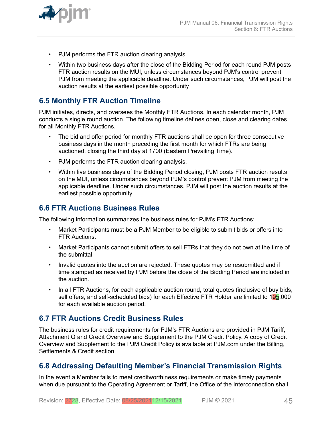<span id="page-44-0"></span>

- PJM performs the FTR auction clearing analysis.
- Within two business days after the close of the Bidding Period for each round PJM posts FTR auction results on the MUI, unless circumstances beyond PJM's control prevent PJM from meeting the applicable deadline. Under such circumstances, PJM will post the auction results at the earliest possible opportunity

## **6.5 Monthly FTR Auction Timeline**

PJM initiates, directs, and oversees the Monthly FTR Auctions. In each calendar month, PJM conducts a single round auction. The following timeline defines open, close and clearing dates for all Monthly FTR Auctions.

- The bid and offer period for monthly FTR auctions shall be open for three consecutive business days in the month preceding the first month for which FTRs are being auctioned, closing the third day at 1700 (Eastern Prevailing Time).
- PJM performs the FTR auction clearing analysis.
- Within five business days of the Bidding Period closing, PJM posts FTR auction results on the MUI, unless circumstances beyond PJM's control prevent PJM from meeting the applicable deadline. Under such circumstances, PJM will post the auction results at the earliest possible opportunity

## **6.6 FTR Auctions Business Rules**

The following information summarizes the business rules for PJM's FTR Auctions:

- Market Participants must be a PJM Member to be eligible to submit bids or offers into FTR Auctions.
- Market Participants cannot submit offers to sell FTRs that they do not own at the time of the submittal.
- Invalid quotes into the auction are rejected. These quotes may be resubmitted and if time stamped as received by PJM before the close of the Bidding Period are included in the auction.
- In all FTR Auctions, for each applicable auction round, total quotes (inclusive of buy bids, sell offers, and self-scheduled bids) for each Effective FTR Holder are limited to 105,000 for each available auction period.

### **6.7 FTR Auctions Credit Business Rules**

The business rules for credit requirements for PJM's FTR Auctions are provided in PJM Tariff, Attachment Q and Credit Overview and Supplement to the PJM Credit Policy. A copy of Credit Overview and Supplement to the PJM Credit Policy is available at PJM.com under the Billing, Settlements & Credit section.

## **6.8 Addressing Defaulting Member's Financial Transmission Rights**

In the event a Member fails to meet creditworthiness requirements or make timely payments when due pursuant to the Operating Agreement or Tariff, the Office of the Interconnection shall,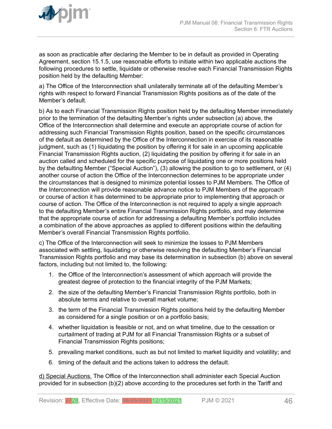

as soon as practicable after declaring the Member to be in default as provided in Operating Agreement, section 15.1.5, use reasonable efforts to initiate within two applicable auctions the following procedures to settle, liquidate or otherwise resolve each Financial Transmission Rights position held by the defaulting Member:

a) The Office of the Interconnection shall unilaterally terminate all of the defaulting Member's rights with respect to forward Financial Transmission Rights positions as of the date of the Member's default.

b) As to each Financial Transmission Rights position held by the defaulting Member immediately prior to the termination of the defaulting Member's rights under subsection (a) above, the Office of the Interconnection shall determine and execute an appropriate course of action for addressing such Financial Transmission Rights position, based on the specific circumstances of the default as determined by the Office of the Interconnection in exercise of its reasonable judgment, such as (1) liquidating the position by offering it for sale in an upcoming applicable Financial Transmission Rights auction, (2) liquidating the position by offering it for sale in an auction called and scheduled for the specific purpose of liquidating one or more positions held by the defaulting Member ("Special Auction"), (3) allowing the position to go to settlement, or (4) another course of action the Office of the Interconnection determines to be appropriate under the circumstances that is designed to minimize potential losses to PJM Members. The Office of the Interconnection will provide reasonable advance notice to PJM Members of the approach or course of action it has determined to be appropriate prior to implementing that approach or course of action. The Office of the Interconnection is not required to apply a single approach to the defaulting Member's entire Financial Transmission Rights portfolio, and may determine that the appropriate course of action for addressing a defaulting Member's portfolio includes a combination of the above approaches as applied to different positions within the defaulting Member's overall Financial Transmission Rights portfolio.

c) The Office of the Interconnection will seek to minimize the losses to PJM Members associated with settling, liquidating or otherwise resolving the defaulting Member's Financial Transmission Rights portfolio and may base its determination in subsection (b) above on several factors, including but not limited to, the following:

- 1. the Office of the Interconnection's assessment of which approach will provide the greatest degree of protection to the financial integrity of the PJM Markets;
- 2. the size of the defaulting Member's Financial Transmission Rights portfolio, both in absolute terms and relative to overall market volume;
- 3. the term of the Financial Transmission Rights positions held by the defaulting Member as considered for a single position or on a portfolio basis;
- 4. whether liquidation is feasible or not, and on what timeline, due to the cessation or curtailment of trading at PJM for all Financial Transmission Rights or a subset of Financial Transmission Rights positions;
- 5. prevailing market conditions, such as but not limited to market liquidity and volatility; and
- 6. timing of the default and the actions taken to address the default.

d) Special Auctions. The Office of the Interconnection shall administer each Special Auction provided for in subsection (b)(2) above according to the procedures set forth in the Tariff and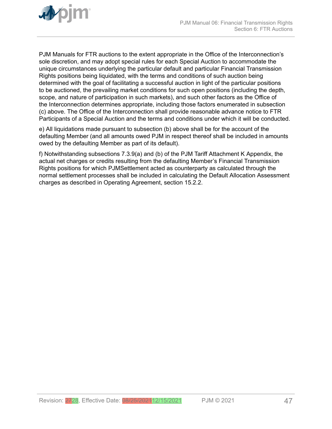

PJM Manuals for FTR auctions to the extent appropriate in the Office of the Interconnection's sole discretion, and may adopt special rules for each Special Auction to accommodate the unique circumstances underlying the particular default and particular Financial Transmission Rights positions being liquidated, with the terms and conditions of such auction being determined with the goal of facilitating a successful auction in light of the particular positions to be auctioned, the prevailing market conditions for such open positions (including the depth, scope, and nature of participation in such markets), and such other factors as the Office of the Interconnection determines appropriate, including those factors enumerated in subsection (c) above. The Office of the Interconnection shall provide reasonable advance notice to FTR Participants of a Special Auction and the terms and conditions under which it will be conducted.

e) All liquidations made pursuant to subsection (b) above shall be for the account of the defaulting Member (and all amounts owed PJM in respect thereof shall be included in amounts owed by the defaulting Member as part of its default).

f) Notwithstanding subsections 7.3.9(a) and (b) of the PJM Tariff Attachment K Appendix, the actual net charges or credits resulting from the defaulting Member's Financial Transmission Rights positions for which PJMSettlement acted as counterparty as calculated through the normal settlement processes shall be included in calculating the Default Allocation Assessment charges as described in Operating Agreement, section 15.2.2.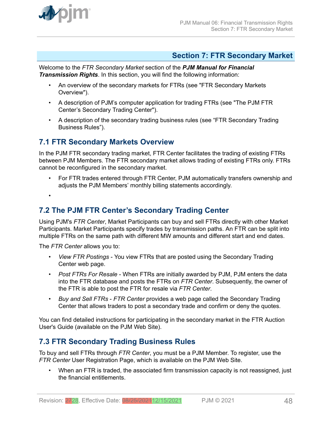<span id="page-47-0"></span>

### **Section 7: FTR Secondary Market**

Welcome to the *FTR Secondary Market* section of the *PJM Manual for Financial Transmission Rights*. In this section, you will find the following information:

- An overview of the secondary markets for FTRs (see "FTR Secondary Markets Overview").
- A description of PJM's computer application for trading FTRs (see "The PJM FTR Center's Secondary Trading Center").
- A description of the secondary trading business rules (see "FTR Secondary Trading Business Rules").

### **7.1 FTR Secondary Markets Overview**

In the PJM FTR secondary trading market, FTR Center facilitates the trading of existing FTRs between PJM Members. The FTR secondary market allows trading of existing FTRs only. FTRs cannot be reconfigured in the secondary market.

• For FTR trades entered through FTR Center, PJM automatically transfers ownership and adjusts the PJM Members' monthly billing statements accordingly.

•

## **7.2 The PJM FTR Center's Secondary Trading Center**

Using PJM's *FTR Center*, Market Participants can buy and sell FTRs directly with other Market Participants. Market Participants specify trades by transmission paths. An FTR can be split into multiple FTRs on the same path with different MW amounts and different start and end dates.

The *FTR Center* allows you to:

- *View FTR Postings* You view FTRs that are posted using the Secondary Trading Center web page.
- *Post FTRs For Resale* When FTRs are initially awarded by PJM, PJM enters the data into the FTR database and posts the FTRs on *FTR Center*. Subsequently, the owner of the FTR is able to post the FTR for resale via *FTR Center*.
- *Buy and Sell FTRs FTR Center* provides a web page called the Secondary Trading Center that allows traders to post a secondary trade and confirm or deny the quotes.

You can find detailed instructions for participating in the secondary market in the FTR Auction User's Guide (available on the PJM Web Site).

## **7.3 FTR Secondary Trading Business Rules**

To buy and sell FTRs through *FTR Center*, you must be a PJM Member. To register, use the *FTR Center* User Registration Page, which is available on the PJM Web Site.

• When an FTR is traded, the associated firm transmission capacity is not reassigned, just the financial entitlements.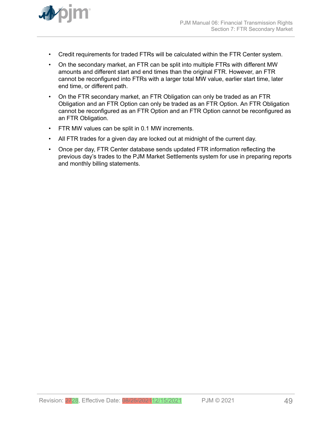

- Credit requirements for traded FTRs will be calculated within the FTR Center system.
- On the secondary market, an FTR can be split into multiple FTRs with different MW amounts and different start and end times than the original FTR. However, an FTR cannot be reconfigured into FTRs with a larger total MW value, earlier start time, later end time, or different path.
- On the FTR secondary market, an FTR Obligation can only be traded as an FTR Obligation and an FTR Option can only be traded as an FTR Option. An FTR Obligation cannot be reconfigured as an FTR Option and an FTR Option cannot be reconfigured as an FTR Obligation.
- FTR MW values can be split in 0.1 MW increments.
- All FTR trades for a given day are locked out at midnight of the current day.
- Once per day, FTR Center database sends updated FTR information reflecting the previous day's trades to the PJM Market Settlements system for use in preparing reports and monthly billing statements.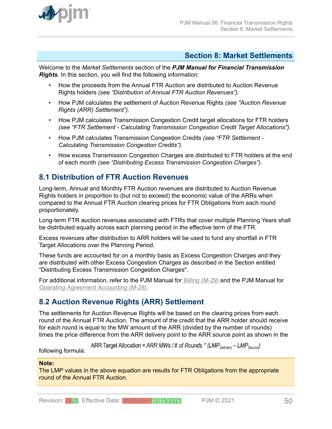<span id="page-49-0"></span>

### **Section 8: Market Settlements**

Welcome to the *Market Settlements* section of the *PJM Manual for Financial Transmission Rights*. In this section, you will find the following information:

- How the proceeds from the Annual FTR Auction are distributed to Auction Revenue Rights holders *(see "Distribution of Annual FTR Auction Revenues").*
- How PJM calculates the settlement of Auction Revenue Rights *(see "Auction Revenue Rights (ARR) Settlement").*
- How PJM calculates Transmission Congestion Credit target allocations for FTR holders *(see "FTR Settlement - Calculating Transmission Congestion Credit Target Allocations").*
- How PJM calculates Transmission Congestion Credits *(see "FTR Settlement - Calculating Transmission Congestion Credits").*
- How excess Transmission Congestion Charges are distributed to FTR holders at the end of each month *(see "Distributing Excess Transmission Congestion Charges").*

## **8.1 Distribution of FTR Auction Revenues**

Long-term, Annual and Monthly FTR Auction revenues are distributed to Auction Revenue Rights holders in proportion to (but not to exceed) the economic value of the ARRs when compared to the Annual FTR Auction clearing prices for FTR Obligations from each round proportionately.

Long-term FTR auction revenues associated with FTRs that cover multiple Planning Years shall be distributed equally across each planning period in the effective term of the FTR.

Excess revenues after distribution to ARR holders will be used to fund any shortfall in FTR Target Allocations over the Planning Period.

These funds are accounted for on a monthly basis as Excess Congestion Charges and they are distributed with other Excess Congestion Charges as described in the Section entitled "Distributing Excess Transmission Congestion Charges".

For additional information, refer to the PJM Manual for *[Billing \(M-29\)](http://www.pjm.com/~/media/documents/manuals/m29.ashx)* and the PJM Manual for *[Operating Agreement Accounting \(M-28\)](http://www.pjm.com/~/media/documents/manuals/m28.ashx)*.

## **8.2 Auction Revenue Rights (ARR) Settlement**

The settlements for Auction Revenue Rights will be based on the clearing prices from each round of the Annual FTR Auction. The amount of the credit that the ARR holder should receive for each round is equal to the MW amount of the ARR (divided by the number of rounds) times the price difference from the ARR delivery point to the ARR source point as shown in the

ARR Target Allocation = ARR MWs / # of Rounds \* (LMP<sub>Delivery</sub> – LMP<sub>Source</sub>)

following formula:

### **Note:**

The LMP values in the above equation are results for FTR Obligations from the appropriate round of the Annual FTR Auction.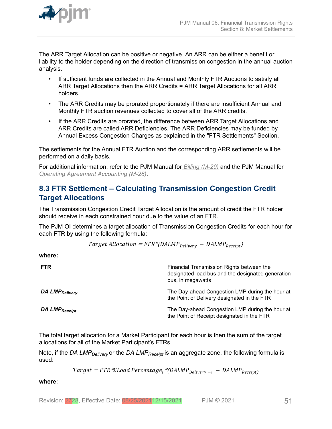<span id="page-50-0"></span>

The ARR Target Allocation can be positive or negative. An ARR can be either a benefit or liability to the holder depending on the direction of transmission congestion in the annual auction analysis.

- If sufficient funds are collected in the Annual and Monthly FTR Auctions to satisfy all ARR Target Allocations then the ARR Credits = ARR Target Allocations for all ARR holders.
- The ARR Credits may be prorated proportionately if there are insufficient Annual and Monthly FTR auction revenues collected to cover all of the ARR credits.
- If the ARR Credits are prorated, the difference between ARR Target Allocations and ARR Credits are called ARR Deficiencies. The ARR Deficiencies may be funded by Annual Excess Congestion Charges as explained in the "FTR Settlements" Section.

The settlements for the Annual FTR Auction and the corresponding ARR settlements will be performed on a daily basis.

For additional information, refer to the PJM Manual for *[Billing \(M-29\)](http://www.pjm.com/~/media/documents/manuals/m29.ashx)* and the PJM Manual for *[Operating Agreement Accounting \(M-28\)](http://www.pjm.com/~/media/documents/manuals/m28.ashx)*.

## **8.3 FTR Settlement – Calculating Transmission Congestion Credit Target Allocations**

The Transmission Congestion Credit Target Allocation is the amount of credit the FTR holder should receive in each constrained hour due to the value of an FTR.

The PJM OI determines a target allocation of Transmission Congestion Credits for each hour for each FTR by using the following formula:

$$
Target \; Allocation = FTR * (DALMP_{Delivery} - DALMP_{Receipt})
$$

**where:**

| <b>FTR</b>                 | Financial Transmission Rights between the<br>designated load bus and the designated generation<br>bus, in megawatts |
|----------------------------|---------------------------------------------------------------------------------------------------------------------|
| DA LMP <sub>Delivery</sub> | The Day-ahead Congestion LMP during the hour at<br>the Point of Delivery designated in the FTR                      |
| DA LMP <sub>Receipt</sub>  | The Day-ahead Congestion LMP during the hour at<br>the Point of Receipt designated in the FTR                       |

The total target allocation for a Market Participant for each hour is then the sum of the target allocations for all of the Market Participant's FTRs.

Note, if the *DA LMPDelivery* or the *DA LMPReceipt* is an aggregate zone, the following formula is used:

 $Target = FTR * \Sigma Load Percentage_i * (DALMP_{Delivery - i} - DALMP_{Receipt})$ 

**where**: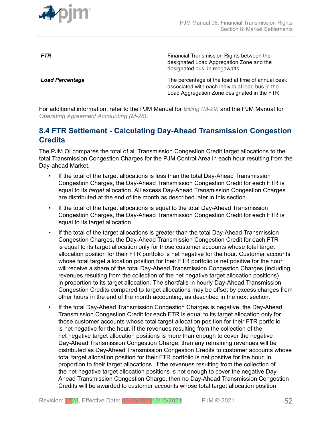<span id="page-51-0"></span>

**FTR** FINE **FINE EXAMPLE TRANSMISS** Financial Transmission Rights between the designated Load Aggregation Zone and the designated bus, in megawatts

**Load Percentage** The percentage of the load at time of annual peak associated with each individual load bus in the Load Aggregation Zone designated in the FTR

For additional information, refer to the PJM Manual for *[Billing \(M-29\)](http://www.pjm.com/~/media/documents/manuals/m29.ashx)* and the PJM Manual for *[Operating Agreement Accounting \(M-28\)](http://www.pjm.com/~/media/documents/manuals/m28.ashx)*.

## **8.4 FTR Settlement - Calculating Day-Ahead Transmission Congestion Credits**

The PJM OI compares the total of all Transmission Congestion Credit target allocations to the total Transmission Congestion Charges for the PJM Control Area in each hour resulting from the Day-ahead Market.

- If the total of the target allocations is less than the total Day-Ahead Transmission Congestion Charges, the Day-Ahead Transmission Congestion Credit for each FTR is equal to its *target* allocation. All excess Day-Ahead Transmission Congestion Charges are distributed at the end of the month as described later in this section.
- If the total of the target allocations is equal to the total Day-Ahead Transmission Congestion Charges, the Day-Ahead Transmission Congestion Credit for each FTR is equal to its target allocation.
- If the total of the target allocations is greater than the total Day-Ahead Transmission Congestion Charges, the Day-Ahead Transmission Congestion Credit for each FTR is equal to its target allocation only for those customer accounts whose total target allocation position for their FTR portfolio is net negative for the hour. Customer accounts whose total target allocation position for their FTR portfolio is net positive for the hour will receive a share of the total Day-Ahead Transmission Congestion Charges (including revenues resulting from the collection of the net negative target allocation positions) in proportion to its target allocation. The shortfalls in hourly Day-Ahead Transmission Congestion Credits compared to target allocations may be offset by excess charges from other hours in the end of the month accounting, as described in the next section.
- If the total Day-Ahead Transmission Congestion Charges is negative, the Day-Ahead Transmission Congestion Credit for each FTR is equal to its target allocation only for those customer accounts whose total target allocation position for their FTR portfolio is net negative for the hour. If the revenues resulting from the collection of the net negative target allocation positions is more than enough to cover the negative Day-Ahead Transmission Congestion Charge, then any remaining revenues will be distributed as Day-Ahead Transmission Congestion Credits to customer accounts whose total target allocation position for their FTR portfolio is net positive for the hour, in proportion to their target allocations. If the revenues resulting from the collection of the net negative target allocation positions is not enough to cover the negative Day-Ahead Transmission Congestion Charge, then no Day-Ahead Transmission Congestion Credits will be awarded to customer accounts whose total target allocation position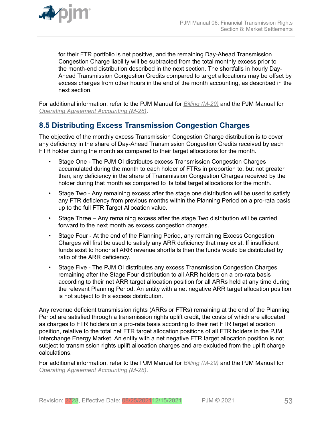<span id="page-52-0"></span>

for their FTR portfolio is net positive, and the remaining Day-Ahead Transmission Congestion Charge liability will be subtracted from the total monthly excess prior to the month-end distribution described in the next section. The shortfalls in hourly Day-Ahead Transmission Congestion Credits compared to target allocations may be offset by excess charges from other hours in the end of the month accounting, as described in the next section.

For additional information, refer to the PJM Manual for *[Billing \(M-29\)](http://www.pjm.com/contributions/pjm-manuals/pdf/m28v24.pdf)* and the PJM Manual for *[Operating Agreement Accounting \(M-28\)](http://www.pjm.com/~/media/documents/manuals/m28.ashx)*.

## **8.5 Distributing Excess Transmission Congestion Charges**

The objective of the monthly excess Transmission Congestion Charge distribution is to cover any deficiency in the share of Day-Ahead Transmission Congestion Credits received by each FTR holder during the month as compared to their target allocations for the month.

- Stage One The PJM OI distributes excess Transmission Congestion Charges accumulated during the month to each holder of FTRs in proportion to, but not greater than, any deficiency in the share of Transmission Congestion Charges received by the holder during that month as compared to its total target allocations for the month.
- Stage Two Any remaining excess after the stage one distribution will be used to satisfy any FTR deficiency from previous months within the Planning Period on a pro-rata basis up to the full FTR Target Allocation value.
- Stage Three Any remaining excess after the stage Two distribution will be carried forward to the next month as excess congestion charges.
- Stage Four At the end of the Planning Period, any remaining Excess Congestion Charges will first be used to satisfy any ARR deficiency that may exist. If insufficient funds exist to honor all ARR revenue shortfalls then the funds would be distributed by ratio of the ARR deficiency.
- Stage Five The PJM OI distributes any excess Transmission Congestion Charges remaining after the Stage Four distribution to all ARR holders on a pro-rata basis according to their net ARR target allocation position for all ARRs held at any time during the relevant Planning Period. An entity with a net negative ARR target allocation position is not subject to this excess distribution.

Any revenue deficient transmission rights (ARRs or FTRs) remaining at the end of the Planning Period are satisfied through a transmission rights uplift credit, the costs of which are allocated as charges to FTR holders on a pro-rata basis according to their net FTR target allocation position, relative to the total net FTR target allocation positions of all FTR holders in the PJM Interchange Energy Market. An entity with a net negative FTR target allocation position is not subject to transmission rights uplift allocation charges and are excluded from the uplift charge calculations.

For additional information, refer to the PJM Manual for *[Billing \(M-29\)](http://www.pjm.com/~/media/documents/manuals/m29.ashx)* and the PJM Manual for *[Operating Agreement Accounting \(M-28\)](http://www.pjm.com/~/media/documents/manuals/m28.ashx)*.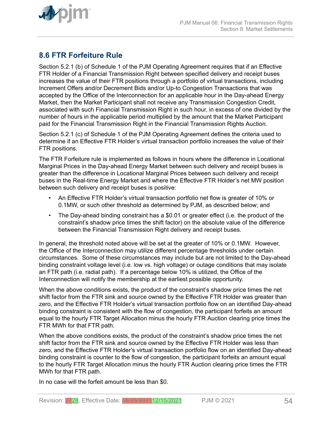<span id="page-53-0"></span>

## **8.6 FTR Forfeiture Rule**

Section 5.2.1 (b) of Schedule 1 of the PJM Operating Agreement requires that if an Effective FTR Holder of a Financial Transmission Right between specified delivery and receipt buses increases the value of their FTR positions through a portfolio of virtual transactions, including Increment Offers and/or Decrement Bids and/or Up-to Congestion Transactions that was accepted by the Office of the Interconnection for an applicable hour in the Day-ahead Energy Market, then the Market Participant shall not receive any Transmission Congestion Credit, associated with such Financial Transmission Right in such hour, in excess of one divided by the number of hours in the applicable period multiplied by the amount that the Market Participant paid for the Financial Transmission Right in the Financial Transmission Rights Auction.

Section 5.2.1 (c) of Schedule 1 of the PJM Operating Agreement defines the criteria used to determine if an Effective FTR Holder's virtual transaction portfolio increases the value of their FTR positions.

The FTR Forfeiture rule is implemented as follows in hours where the difference in Locational Marginal Prices in the Day-ahead Energy Market between such delivery and receipt buses is greater than the difference in Locational Marginal Prices between such delivery and receipt buses in the Real-time Energy Market and where the Effective FTR Holder's net MW position between such delivery and receipt buses is positive:

- An Effective FTR Holder's virtual transaction portfolio net flow is greater of 10% or 0.1MW, or such other threshold as determined by PJM, as described below; and
- The Day-ahead binding constraint has a \$0.01 or greater effect (i.e. the product of the constraint's shadow price times the shift factor) on the absolute value of the difference between the Financial Transmission Right delivery and receipt buses.

In general, the threshold noted above will be set at the greater of 10% or 0.1MW. However, the Office of the Interconnection may utilize different percentage thresholds under certain circumstances. Some of these circumstances may include but are not limited to the Day-ahead binding constraint voltage level (i.e. low vs. high voltage) or outage conditions that may isolate an FTR path (i.e. radial path). If a percentage below 10% is utilized, the Office of the Interconnection will notify the membership at the earliest possible opportunity.

When the above conditions exists, the product of the constraint's shadow price times the net shift factor from the FTR sink and source owned by the Effective FTR Holder was greater than zero, and the Effective FTR Holder's virtual transaction portfolio flow on an identified Day-ahead binding constraint is consistent with the flow of congestion, the participant forfeits an amount equal to the hourly FTR Target Allocation minus the hourly FTR Auction clearing price times the FTR MWh for that FTR path.

When the above conditions exists, the product of the constraint's shadow price times the net shift factor from the FTR sink and source owned by the Effective FTR Holder was less than zero, and the Effective FTR Holder's virtual transaction portfolio flow on an identified Day-ahead binding constraint is counter to the flow of congestion, the participant forfeits an amount equal to the hourly FTR Target Allocation minus the hourly FTR Auction clearing price times the FTR MWh for that FTR path.

In no case will the forfeit amount be less than \$0.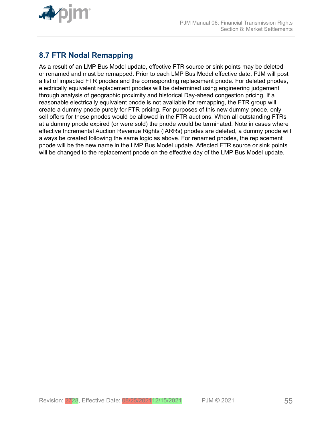<span id="page-54-0"></span>

## **8.7 FTR Nodal Remapping**

As a result of an LMP Bus Model update, effective FTR source or sink points may be deleted or renamed and must be remapped. Prior to each LMP Bus Model effective date, PJM will post a list of impacted FTR pnodes and the corresponding replacement pnode. For deleted pnodes, electrically equivalent replacement pnodes will be determined using engineering judgement through analysis of geographic proximity and historical Day-ahead congestion pricing. If a reasonable electrically equivalent pnode is not available for remapping, the FTR group will create a dummy pnode purely for FTR pricing. For purposes of this new dummy pnode, only sell offers for these pnodes would be allowed in the FTR auctions. When all outstanding FTRs at a dummy pnode expired (or were sold) the pnode would be terminated. Note in cases where effective Incremental Auction Revenue Rights (IARRs) pnodes are deleted, a dummy pnode will always be created following the same logic as above. For renamed pnodes, the replacement pnode will be the new name in the LMP Bus Model update. Affected FTR source or sink points will be changed to the replacement pnode on the effective day of the LMP Bus Model update.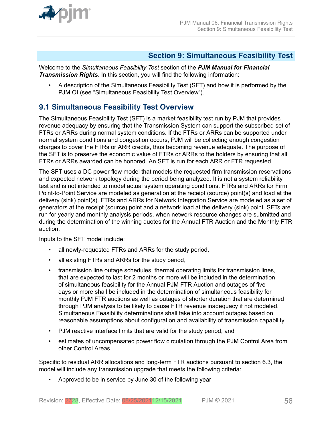<span id="page-55-0"></span>

### **Section 9: Simultaneous Feasibility Test**

Welcome to the *Simultaneous Feasibility Test* section of the *PJM Manual for Financial Transmission Rights*. In this section, you will find the following information:

• A description of the Simultaneous Feasibility Test (SFT) and how it is performed by the PJM OI (see "Simultaneous Feasibility Test Overview").

## **9.1 Simultaneous Feasibility Test Overview**

The Simultaneous Feasibility Test (SFT) is a market feasibility test run by PJM that provides revenue adequacy by ensuring that the Transmission System can support the subscribed set of FTRs or ARRs during normal system conditions. If the FTRs or ARRs can be supported under normal system conditions and congestion occurs, PJM will be collecting enough congestion charges to cover the FTRs or ARR credits, thus becoming revenue adequate. The purpose of the SFT is to preserve the economic value of FTRs or ARRs to the holders by ensuring that all FTRs or ARRs awarded can be honored. An SFT is run for each ARR or FTR requested.

The SFT uses a DC power flow model that models the requested firm transmission reservations and expected network topology during the period being analyzed. It is not a system reliability test and is not intended to model actual system operating conditions. FTRs and ARRs for Firm Point-to-Point Service are modeled as generation at the receipt (source) point(s) and load at the delivery (sink) point(s). FTRs and ARRs for Network Integration Service are modeled as a set of generators at the receipt (source) point and a network load at the delivery (sink) point. SFTs are run for yearly and monthly analysis periods, when network resource changes are submitted and during the determination of the winning quotes for the Annual FTR Auction and the Monthly FTR auction.

Inputs to the SFT model include:

- all newly-requested FTRs and ARRs for the study period,
- all existing FTRs and ARRs for the study period,
- transmission line outage schedules, thermal operating limits for transmission lines, that are expected to last for 2 months or more will be included in the determination of simultaneous feasibility for the Annual PJM FTR Auction and outages of five days or more shall be included in the determination of simultaneous feasibility for monthly PJM FTR auctions as well as outages of shorter duration that are determined through PJM analysis to be likely to cause FTR revenue inadequacy if not modeled. Simultaneous Feasibility determinations shall take into account outages based on reasonable assumptions about configuration and availability of transmission capability.
- PJM reactive interface limits that are valid for the study period, and
- estimates of uncompensated power flow circulation through the PJM Control Area from other Control Areas.

Specific to residual ARR allocations and long-term FTR auctions pursuant to section 6.3, the model will include any transmission upgrade that meets the following criteria:

• Approved to be in service by June 30 of the following year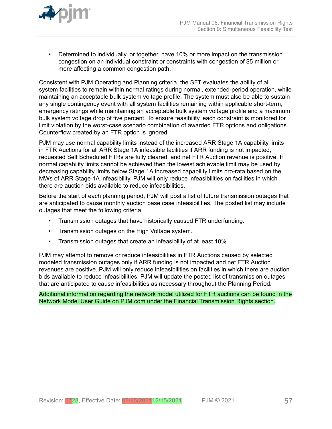

• Determined to individually, or together, have 10% or more impact on the transmission congestion on an individual constraint or constraints with congestion of \$5 million or more affecting a common congestion path.

Consistent with PJM Operating and Planning criteria, the SFT evaluates the ability of all system facilities to remain within normal ratings during normal, extended-period operation, while maintaining an acceptable bulk system voltage profile. The system must also be able to sustain any single contingency event with all system facilities remaining within applicable short-term, emergency ratings while maintaining an acceptable bulk system voltage profile and a maximum bulk system voltage drop of five percent. To ensure feasibility, each constraint is monitored for limit violation by the worst-case scenario combination of awarded FTR options and obligations. Counterflow created by an FTR option is ignored.

PJM may use normal capability limits instead of the increased ARR Stage 1A capability limits in FTR Auctions for all ARR Stage 1A infeasible facilities if ARR funding is not impacted, requested Self Scheduled FTRs are fully cleared, and net FTR Auction revenue is positive. If normal capability limits cannot be achieved then the lowest achievable limit may be used by decreasing capability limits below Stage 1A increased capability limits pro-rata based on the MWs of ARR Stage 1A infeasibility. PJM will only reduce infeasibilities on facilities in which there are auction bids available to reduce infeasibilities.

Before the start of each planning period, PJM will post a list of future transmission outages that are anticipated to cause monthly auction base case infeasibilities. The posted list may include outages that meet the following criteria:

- Transmission outages that have historically caused FTR underfunding.
- Transmission outages on the High Voltage system.
- Transmission outages that create an infeasibility of at least 10%.

PJM may attempt to remove or reduce infeasibilities in FTR Auctions caused by selected modeled transmission outages only if ARR funding is not impacted and net FTR Auction revenues are positive. PJM will only reduce infeasibilities on facilities in which there are auction bids available to reduce infeasibilities. PJM will update the posted list of transmission outages that are anticipated to cause infeasibilities as necessary throughout the Planning Period.

Additional information regarding the network model utilized for FTR auctions can be found in the Network Model User Guide on PJM.com under the Financial Transmission Rights section.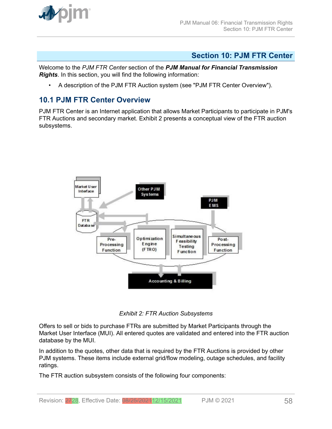<span id="page-57-0"></span>

### **Section 10: PJM FTR Center**

Welcome to the *PJM FTR Center* section of the *PJM Manual for Financial Transmission Rights*. In this section, you will find the following information:

• A description of the PJM FTR Auction system (see "PJM FTR Center Overview").

### **10.1 PJM FTR Center Overview**

PJM FTR Center is an Internet application that allows Market Participants to participate in PJM's FTR Auctions and secondary market. Exhibit 2 presents a conceptual view of the FTR auction subsystems.



*Exhibit 2: FTR Auction Subsystems*

Offers to sell or bids to purchase FTRs are submitted by Market Participants through the Market User Interface (MUI). All entered quotes are validated and entered into the FTR auction database by the MUI.

In addition to the quotes, other data that is required by the FTR Auctions is provided by other PJM systems. These items include external grid/flow modeling, outage schedules, and facility ratings.

The FTR auction subsystem consists of the following four components: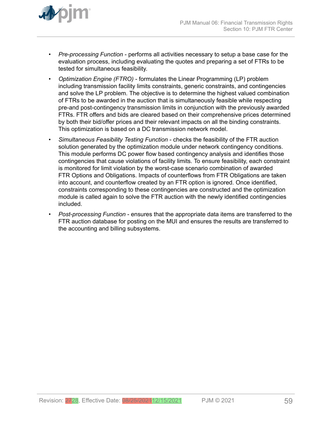

- *Pre-processing Function* performs all activities necessary to setup a base case for the evaluation process, including evaluating the quotes and preparing a set of FTRs to be tested for simultaneous feasibility.
- *Optimization Engine (FTRO)* formulates the Linear Programming (LP) problem including transmission facility limits constraints, generic constraints, and contingencies and solve the LP problem. The objective is to determine the highest valued combination of FTRs to be awarded in the auction that is simultaneously feasible while respecting pre-and post-contingency transmission limits in conjunction with the previously awarded FTRs. FTR offers and bids are cleared based on their comprehensive prices determined by both their bid/offer prices and their relevant impacts on all the binding constraints. This optimization is based on a DC transmission network model.
- *Simultaneous Feasibility Testing Function* checks the feasibility of the FTR auction solution generated by the optimization module under network contingency conditions. This module performs DC power flow based contingency analysis and identifies those contingencies that cause violations of facility limits. To ensure feasibility, each constraint is monitored for limit violation by the worst-case scenario combination of awarded FTR Options and Obligations. Impacts of counterflows from FTR Obligations are taken into account, and counterflow created by an FTR option is ignored. Once identified, constraints corresponding to these contingencies are constructed and the optimization module is called again to solve the FTR auction with the newly identified contingencies included.
- *Post*-*processing Function* ensures that the appropriate data items are transferred to the FTR auction database for posting on the MUI and ensures the results are transferred to the accounting and billing subsystems.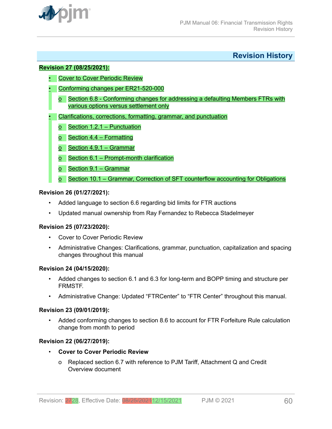<span id="page-59-0"></span>

**Revision History**

#### **Revision 27 (08/25/2021):**

- Cover to Cover Periodic Review
- Conforming changes per ER21-520-000
	- o Section 6.8 Conforming changes for addressing a defaulting Members FTRs with various options versus settlement only
- Clarifications, corrections, formatting, grammar, and punctuation
	- o Section 1.2.1 Punctuation
	- o Section 4.4 Formatting
	- o Section 4.9.1 Grammar
	- o Section 6.1 Prompt-month clarification
	- o Section 9.1 Grammar
	- o Section 10.1 Grammar, Correction of SFT counterflow accounting for Obligations

#### **Revision 26 (01/27/2021):**

- Added language to section 6.6 regarding bid limits for FTR auctions
- Updated manual ownership from Ray Fernandez to Rebecca Stadelmeyer

### **Revision 25 (07/23/2020):**

- Cover to Cover Periodic Review
- Administrative Changes: Clarifications, grammar, punctuation, capitalization and spacing changes throughout this manual

### **Revision 24 (04/15/2020):**

- Added changes to section 6.1 and 6.3 for long-term and BOPP timing and structure per FRMSTF.
- Administrative Change: Updated "FTRCenter" to "FTR Center" throughout this manual.

### **Revision 23 (09/01/2019):**

• Added conforming changes to section 8.6 to account for FTR Forfeiture Rule calculation change from month to period

### **Revision 22 (06/27/2019):**

- **Cover to Cover Periodic Review**
	- o Replaced section 6.7 with reference to PJM Tariff, Attachment Q and Credit Overview document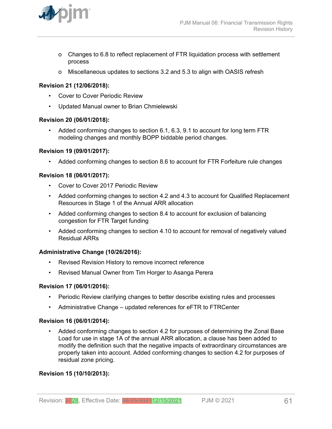

- o Changes to 6.8 to reflect replacement of FTR liquidation process with settlement process
- o Miscellaneous updates to sections 3.2 and 5.3 to align with OASIS refresh

### **Revision 21 (12/06/2018):**

- Cover to Cover Periodic Review
- Updated Manual owner to Brian Chmielewski

#### **Revision 20 (06/01/2018):**

• Added conforming changes to section 6.1, 6.3, 9.1 to account for long term FTR modeling changes and monthly BOPP biddable period changes.

#### **Revision 19 (09/01/2017):**

• Added conforming changes to section 8.6 to account for FTR Forfeiture rule changes

#### **Revision 18 (06/01/2017):**

- Cover to Cover 2017 Periodic Review
- Added conforming changes to section 4.2 and 4.3 to account for Qualified Replacement Resources in Stage 1 of the Annual ARR allocation
- Added conforming changes to section 8.4 to account for exclusion of balancing congestion for FTR Target funding
- Added conforming changes to section 4.10 to account for removal of negatively valued Residual ARRs

#### **Administrative Change (10/26/2016):**

- Revised Revision History to remove incorrect reference
- Revised Manual Owner from Tim Horger to Asanga Perera

#### **Revision 17 (06/01/2016):**

- Periodic Review clarifying changes to better describe existing rules and processes
- Administrative Change updated references for eFTR to FTRCenter

#### **Revision 16 (06/01/2014):**

• Added conforming changes to section 4.2 for purposes of determining the Zonal Base Load for use in stage 1A of the annual ARR allocation, a clause has been added to modify the definition such that the negative impacts of extraordinary circumstances are properly taken into account. Added conforming changes to section 4.2 for purposes of residual zone pricing.

### **Revision 15 (10/10/2013):**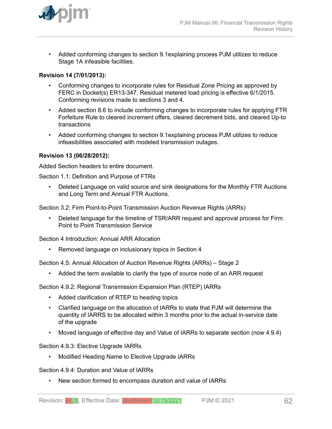

• Added conforming changes to section 9.1explaining process PJM utilizes to reduce Stage 1A infeasible facilities.

### **Revision 14 (7/01/2013):**

- Conforming changes to incorporate rules for Residual Zone Pricing as approved by FERC in Docket(s) ER13-347. Residual metered load pricing is effective 6/1/2015. Conforming revisions made to sections 3 and 4.
- Added section 8.6 to include conforming changes to incorporate rules for applying FTR Forfeiture Rule to cleared increment offers, cleared decrement bids, and cleared Up-to transactions
- Added conforming changes to section 9.1explaining process PJM utilizes to reduce infeasibilities associated with modeled transmission outages.

### **Revision 13 (06/28/2012):**

Added Section headers to entire document.

Section 1.1: Definition and Purpose of FTRs

• Deleted Language on valid source and sink designations for the Monthly FTR Auctions and Long Term and Annual FTR Auctions.

Section 3.2: Firm Point-to-Point Transmission Auction Revenue Rights (ARRs)

• Deleted language for the timeline of TSR/ARR request and approval process for Firm Point to Point Transmission Service

Section 4 Introduction: Annual ARR Allocation

• Removed language on inclusionary topics in Section 4

Section 4.5: Annual Allocation of Auction Revenue Rights (ARRs) – Stage 2

• Added the term available to clarify the type of source node of an ARR request

Section 4.9.2: Regional Transmission Expansion Plan (RTEP) IARRs

- Added clarification of RTEP to heading topics
- Clarified language on the allocation of IARRs to state that PJM will determine the quantity of IARRS to be allocated within 3 months prior to the actual in-service date of the upgrade
- Moved language of effective day and Value of IARRs to separate section (now 4.9.4)

Section 4.9.3: Elective Upgrade IARRs

• Modified Heading Name to Elective Upgrade IARRs

Section 4.9.4: Duration and Value of IARRs

• New section formed to encompass duration and value of IARRs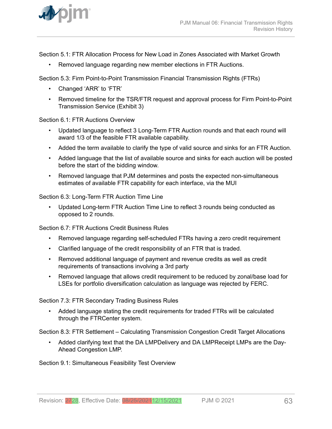

Section 5.1: FTR Allocation Process for New Load in Zones Associated with Market Growth

• Removed language regarding new member elections in FTR Auctions.

Section 5.3: Firm Point-to-Point Transmission Financial Transmission Rights (FTRs)

- Changed 'ARR' to 'FTR'
- Removed timeline for the TSR/FTR request and approval process for Firm Point-to-Point Transmission Service (Exhibit 3)

Section 6.1: FTR Auctions Overview

- Updated language to reflect 3 Long-Term FTR Auction rounds and that each round will award 1/3 of the feasible FTR available capability.
- Added the term available to clarify the type of valid source and sinks for an FTR Auction.
- Added language that the list of available source and sinks for each auction will be posted before the start of the bidding window.
- Removed language that PJM determines and posts the expected non-simultaneous estimates of available FTR capability for each interface, via the MUI

Section 6.3: Long-Term FTR Auction Time Line

• Updated Long-term FTR Auction Time Line to reflect 3 rounds being conducted as opposed to 2 rounds.

Section 6.7: FTR Auctions Credit Business Rules

- Removed language regarding self-scheduled FTRs having a zero credit requirement
- Clarified language of the credit responsibility of an FTR that is traded.
- Removed additional language of payment and revenue credits as well as credit requirements of transactions involving a 3rd party
- Removed language that allows credit requirement to be reduced by zonal/base load for LSEs for portfolio diversification calculation as language was rejected by FERC.

Section 7.3: FTR Secondary Trading Business Rules

• Added language stating the credit requirements for traded FTRs will be calculated through the FTRCenter system.

Section 8.3: FTR Settlement – Calculating Transmission Congestion Credit Target Allocations

• Added clarifying text that the DA LMPDelivery and DA LMPReceipt LMPs are the Day-Ahead Congestion LMP.

Section 9.1: Simultaneous Feasibility Test Overview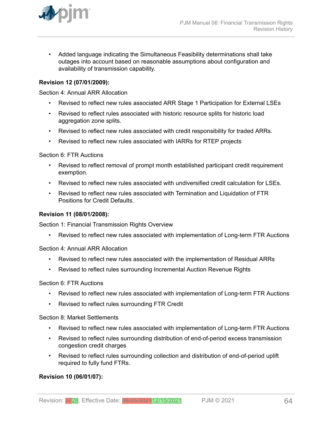

• Added language indicating the Simultaneous Feasibility determinations shall take outages into account based on reasonable assumptions about configuration and availability of transmission capability.

### **Revision 12 (07/01/2009):**

Section 4: Annual ARR Allocation

- Revised to reflect new rules associated ARR Stage 1 Participation for External LSEs
- Revised to reflect rules associated with historic resource splits for historic load aggregation zone splits.
- Revised to reflect new rules associated with credit responsibility for traded ARRs.
- Revised to reflect new rules associated with IARRs for RTEP projects

Section 6: FTR Auctions

- Revised to reflect removal of prompt month established participant credit requirement exemption.
- Revised to reflect new rules associated with undiversified credit calculation for LSEs.
- Revised to reflect new rules associated with Termination and Liquidation of FTR Positions for Credit Defaults.

#### **Revision 11 (08/01/2008):**

Section 1: Financial Transmission Rights Overview

• Revised to reflect new rules associated with implementation of Long-term FTR Auctions

Section 4: Annual ARR Allocation

- Revised to reflect new rules associated with the implementation of Residual ARRs
- Revised to reflect rules surrounding Incremental Auction Revenue Rights

Section 6: FTR Auctions

- Revised to reflect new rules associated with implementation of Long-term FTR Auctions
- Revised to reflect rules surrounding FTR Credit

Section 8: Market Settlements

- Revised to reflect new rules associated with implementation of Long-term FTR Auctions
- Revised to reflect rules surrounding distribution of end-of-period excess transmission congestion credit charges
- Revised to reflect rules surrounding collection and distribution of end-of-period uplift required to fully fund FTRs.

### **Revision 10 (06/01/07):**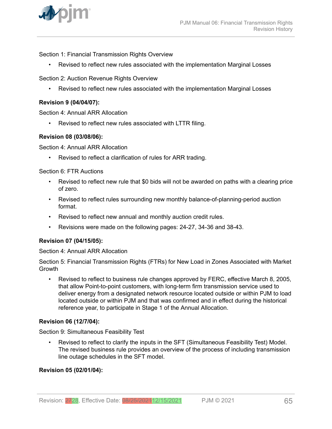

Section 1: Financial Transmission Rights Overview

• Revised to reflect new rules associated with the implementation Marginal Losses

Section 2: Auction Revenue Rights Overview

• Revised to reflect new rules associated with the implementation Marginal Losses

#### **Revision 9 (04/04/07):**

Section 4: Annual ARR Allocation

• Revised to reflect new rules associated with LTTR filing.

#### **Revision 08 (03/08/06):**

Section 4: Annual ARR Allocation

• Revised to reflect a clarification of rules for ARR trading.

Section 6: FTR Auctions

- Revised to reflect new rule that \$0 bids will not be awarded on paths with a clearing price of zero.
- Revised to reflect rules surrounding new monthly balance-of-planning-period auction format.
- Revised to reflect new annual and monthly auction credit rules.
- Revisions were made on the following pages: 24-27, 34-36 and 38-43.

#### **Revision 07 (04/15/05):**

Section 4: Annual ARR Allocation

Section 5: Financial Transmission Rights (FTRs) for New Load in Zones Associated with Market **Growth** 

• Revised to reflect to business rule changes approved by FERC, effective March 8, 2005, that allow Point-to-point customers, with long-term firm transmission service used to deliver energy from a designated network resource located outside or within PJM to load located outside or within PJM and that was confirmed and in effect during the historical reference year, to participate in Stage 1 of the Annual Allocation.

### **Revision 06 (12/7/04):**

Section 9: Simultaneous Feasibility Test

• Revised to reflect to clarify the inputs in the SFT (Simultaneous Feasibility Test) Model. The revised business rule provides an overview of the process of including transmission line outage schedules in the SFT model.

### **Revision 05 (02/01/04):**